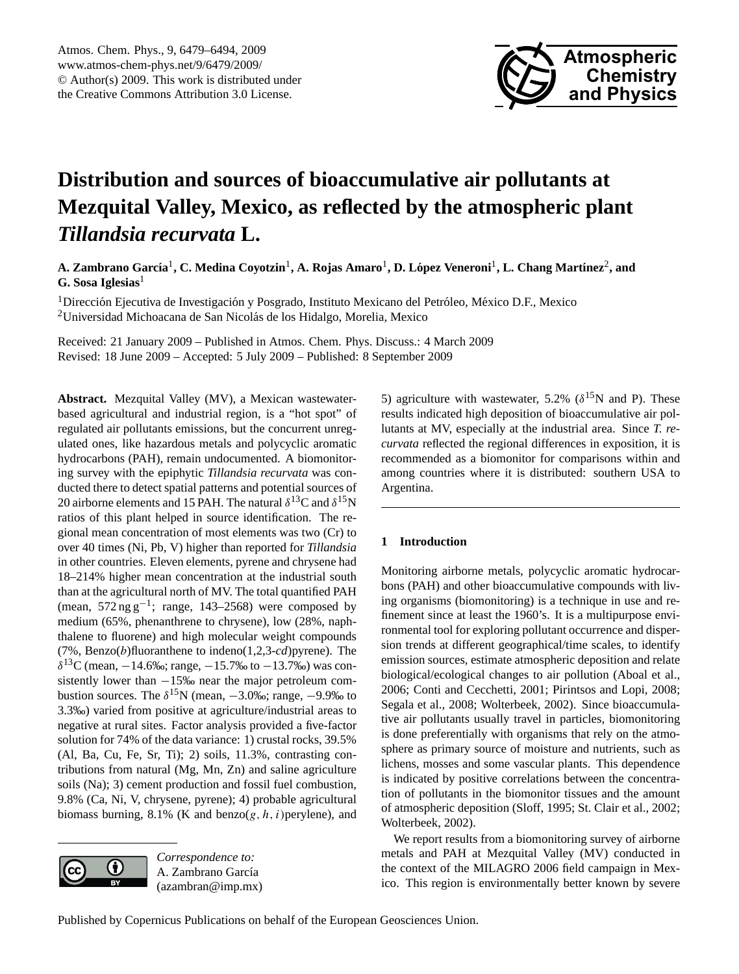

# <span id="page-0-0"></span>**Distribution and sources of bioaccumulative air pollutants at Mezquital Valley, Mexico, as reflected by the atmospheric plant** *Tillandsia recurvata* **L.**

 $\bf{A. Zambrano García^1, C. Medina Covotzin^1, A. Rojas Amaro^1, D. López Veneroni^1, L. Chang Martínez^2, and$ **G. Sosa Iglesias**<sup>1</sup>

 $1$ Dirección Ejecutiva de Investigación y Posgrado, Instituto Mexicano del Petróleo, México D.F., Mexico <sup>2</sup>Universidad Michoacana de San Nicolás de los Hidalgo, Morelia, Mexico

Received: 21 January 2009 – Published in Atmos. Chem. Phys. Discuss.: 4 March 2009 Revised: 18 June 2009 – Accepted: 5 July 2009 – Published: 8 September 2009

**Abstract.** Mezquital Valley (MV), a Mexican wastewaterbased agricultural and industrial region, is a "hot spot" of regulated air pollutants emissions, but the concurrent unregulated ones, like hazardous metals and polycyclic aromatic hydrocarbons (PAH), remain undocumented. A biomonitoring survey with the epiphytic *Tillandsia recurvata* was conducted there to detect spatial patterns and potential sources of 20 airborne elements and 15 PAH. The natural  $\delta^{13}$ C and  $\delta^{15}$ N ratios of this plant helped in source identification. The regional mean concentration of most elements was two (Cr) to over 40 times (Ni, Pb, V) higher than reported for *Tillandsia* in other countries. Eleven elements, pyrene and chrysene had 18–214% higher mean concentration at the industrial south than at the agricultural north of MV. The total quantified PAH (mean,  $572 \text{ ng g}^{-1}$ ; range, 143–2568) were composed by medium (65%, phenanthrene to chrysene), low (28%, naphthalene to fluorene) and high molecular weight compounds (7%, Benzo(b)fluoranthene to indeno(1,2,3-*cd*)pyrene). The  $\delta^{13}$ C (mean,  $-14.6$ ‰; range,  $-15.7$ ‰ to  $-13.7$ ‰) was consistently lower than −15‰ near the major petroleum combustion sources. The  $\delta^{15}N$  (mean,  $-3.0\%$ ; range,  $-9.9\%$  to 3.3‰) varied from positive at agriculture/industrial areas to negative at rural sites. Factor analysis provided a five-factor solution for 74% of the data variance: 1) crustal rocks, 39.5% (Al, Ba, Cu, Fe, Sr, Ti); 2) soils, 11.3%, contrasting contributions from natural (Mg, Mn, Zn) and saline agriculture soils (Na); 3) cement production and fossil fuel combustion, 9.8% (Ca, Ni, V, chrysene, pyrene); 4) probable agricultural biomass burning, 8.1% (K and benzo( $g, h, i$ ) perylene), and



*Correspondence to:* A. Zambrano García (azambran@imp.mx)

5) agriculture with wastewater, 5.2% ( $\delta^{15}$ N and P). These results indicated high deposition of bioaccumulative air pollutants at MV, especially at the industrial area. Since *T. recurvata* reflected the regional differences in exposition, it is recommended as a biomonitor for comparisons within and among countries where it is distributed: southern USA to Argentina.

## **1 Introduction**

Monitoring airborne metals, polycyclic aromatic hydrocarbons (PAH) and other bioaccumulative compounds with living organisms (biomonitoring) is a technique in use and refinement since at least the 1960's. It is a multipurpose environmental tool for exploring pollutant occurrence and dispersion trends at different geographical/time scales, to identify emission sources, estimate atmospheric deposition and relate biological/ecological changes to air pollution (Aboal et al., 2006; Conti and Cecchetti, 2001; Pirintsos and Lopi, 2008; Segala et al., 2008; Wolterbeek, 2002). Since bioaccumulative air pollutants usually travel in particles, biomonitoring is done preferentially with organisms that rely on the atmosphere as primary source of moisture and nutrients, such as lichens, mosses and some vascular plants. This dependence is indicated by positive correlations between the concentration of pollutants in the biomonitor tissues and the amount of atmospheric deposition (Sloff, 1995; St. Clair et al., 2002; Wolterbeek, 2002).

We report results from a biomonitoring survey of airborne metals and PAH at Mezquital Valley (MV) conducted in the context of the MILAGRO 2006 field campaign in Mexico. This region is environmentally better known by severe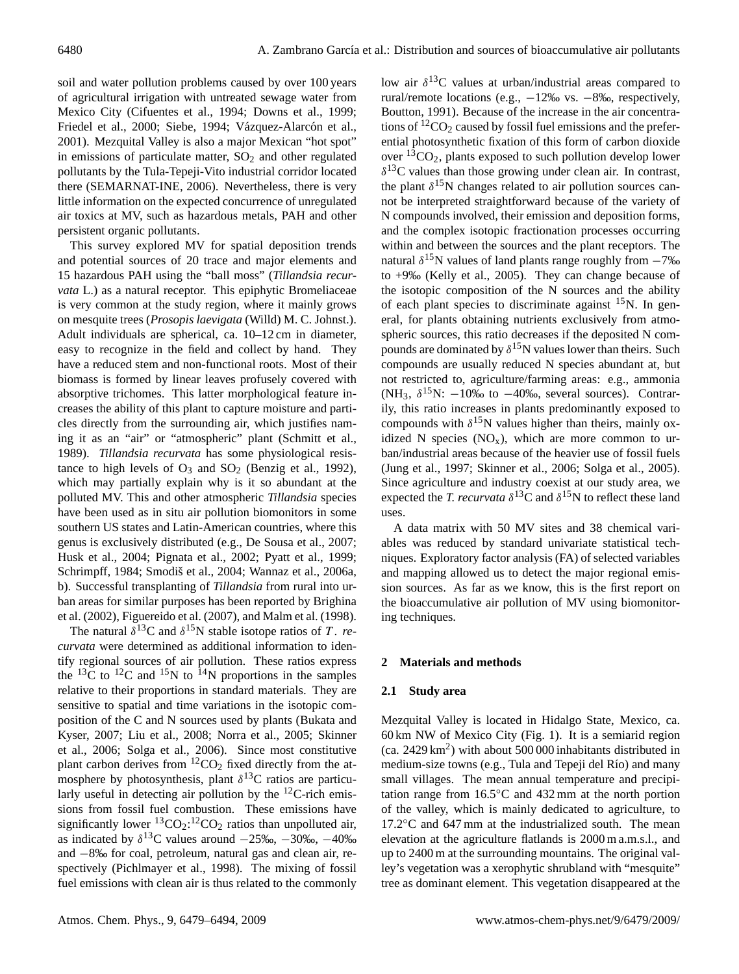soil and water pollution problems caused by over 100 years of agricultural irrigation with untreated sewage water from Mexico City (Cifuentes et al., 1994; Downs et al., 1999; Friedel et al., 2000; Siebe, 1994; Vázquez-Alarcón et al., 2001). Mezquital Valley is also a major Mexican "hot spot" in emissions of particulate matter,  $SO<sub>2</sub>$  and other regulated pollutants by the Tula-Tepeji-Vito industrial corridor located there (SEMARNAT-INE, 2006). Nevertheless, there is very little information on the expected concurrence of unregulated air toxics at MV, such as hazardous metals, PAH and other persistent organic pollutants.

This survey explored MV for spatial deposition trends and potential sources of 20 trace and major elements and 15 hazardous PAH using the "ball moss" (*Tillandsia recurvata* L.) as a natural receptor. This epiphytic Bromeliaceae is very common at the study region, where it mainly grows on mesquite trees (*Prosopis laevigata* (Willd) M. C. Johnst.). Adult individuals are spherical, ca. 10–12 cm in diameter, easy to recognize in the field and collect by hand. They have a reduced stem and non-functional roots. Most of their biomass is formed by linear leaves profusely covered with absorptive trichomes. This latter morphological feature increases the ability of this plant to capture moisture and particles directly from the surrounding air, which justifies naming it as an "air" or "atmospheric" plant (Schmitt et al., 1989). *Tillandsia recurvata* has some physiological resistance to high levels of  $O_3$  and  $SO_2$  (Benzig et al., 1992), which may partially explain why is it so abundant at the polluted MV. This and other atmospheric *Tillandsia* species have been used as in situ air pollution biomonitors in some southern US states and Latin-American countries, where this genus is exclusively distributed (e.g., De Sousa et al., 2007; Husk et al., 2004; Pignata et al., 2002; Pyatt et al., 1999; Schrimpff, 1984; Smodiš et al., 2004; Wannaz et al., 2006a, b). Successful transplanting of *Tillandsia* from rural into urban areas for similar purposes has been reported by Brighina et al. (2002), Figuereido et al. (2007), and Malm et al. (1998).

The natural  $\delta^{13}$ C and  $\delta^{15}$ N stable isotope ratios of T. *recurvata* were determined as additional information to identify regional sources of air pollution. These ratios express the  $^{13}$ C to  $^{12}$ C and  $^{15}$ N to  $^{14}$ N proportions in the samples relative to their proportions in standard materials. They are sensitive to spatial and time variations in the isotopic composition of the C and N sources used by plants (Bukata and Kyser, 2007; Liu et al., 2008; Norra et al., 2005; Skinner et al., 2006; Solga et al., 2006). Since most constitutive plant carbon derives from  ${}^{12}CO_2$  fixed directly from the atmosphere by photosynthesis, plant  $\delta^{13}$ C ratios are particularly useful in detecting air pollution by the  $^{12}$ C-rich emissions from fossil fuel combustion. These emissions have significantly lower  ${}^{13}CO_2$ :  ${}^{12}CO_2$  ratios than unpolluted air, as indicated by  $\delta^{13}$ C values around  $-25\%$ ,  $-30\%$ ,  $-40\%$ and −8‰ for coal, petroleum, natural gas and clean air, respectively (Pichlmayer et al., 1998). The mixing of fossil fuel emissions with clean air is thus related to the commonly

low air  $\delta^{13}$ C values at urban/industrial areas compared to rural/remote locations (e.g., −12‰ vs. −8‰, respectively, Boutton, 1991). Because of the increase in the air concentrations of  ${}^{12}CO_2$  caused by fossil fuel emissions and the preferential photosynthetic fixation of this form of carbon dioxide over  ${}^{13}CO_2$ , plants exposed to such pollution develop lower  $\delta^{13}$ C values than those growing under clean air. In contrast, the plant  $\delta^{15}$ N changes related to air pollution sources cannot be interpreted straightforward because of the variety of N compounds involved, their emission and deposition forms, and the complex isotopic fractionation processes occurring within and between the sources and the plant receptors. The natural  $\delta^{15}$ N values of land plants range roughly from  $-7%$ to +9‰ (Kelly et al., 2005). They can change because of the isotopic composition of the N sources and the ability of each plant species to discriminate against  $^{15}N$ . In general, for plants obtaining nutrients exclusively from atmospheric sources, this ratio decreases if the deposited N compounds are dominated by  $\delta^{15}$ N values lower than theirs. Such compounds are usually reduced N species abundant at, but not restricted to, agriculture/farming areas: e.g., ammonia (NH<sub>3</sub>,  $\delta^{15}$ N:  $-10\%$  to  $-40\%$ , several sources). Contrarily, this ratio increases in plants predominantly exposed to compounds with  $\delta^{15}N$  values higher than theirs, mainly oxidized N species  $(NO_x)$ , which are more common to urban/industrial areas because of the heavier use of fossil fuels (Jung et al., 1997; Skinner et al., 2006; Solga et al., 2005). Since agriculture and industry coexist at our study area, we expected the *T. recurvata*  $\delta^{13}$ C and  $\delta^{15}$ N to reflect these land uses.

A data matrix with 50 MV sites and 38 chemical variables was reduced by standard univariate statistical techniques. Exploratory factor analysis (FA) of selected variables and mapping allowed us to detect the major regional emission sources. As far as we know, this is the first report on the bioaccumulative air pollution of MV using biomonitoring techniques.

### **2 Materials and methods**

### **2.1 Study area**

Mezquital Valley is located in Hidalgo State, Mexico, ca. 60 km NW of Mexico City (Fig. 1). It is a semiarid region  $(ca. 2429 km<sup>2</sup>)$  with about 500 000 inhabitants distributed in medium-size towns (e.g., Tula and Tepeji del Río) and many small villages. The mean annual temperature and precipitation range from 16.5◦C and 432 mm at the north portion of the valley, which is mainly dedicated to agriculture, to 17.2◦C and 647 mm at the industrialized south. The mean elevation at the agriculture flatlands is 2000 m a.m.s.l., and up to 2400 m at the surrounding mountains. The original valley's vegetation was a xerophytic shrubland with "mesquite" tree as dominant element. This vegetation disappeared at the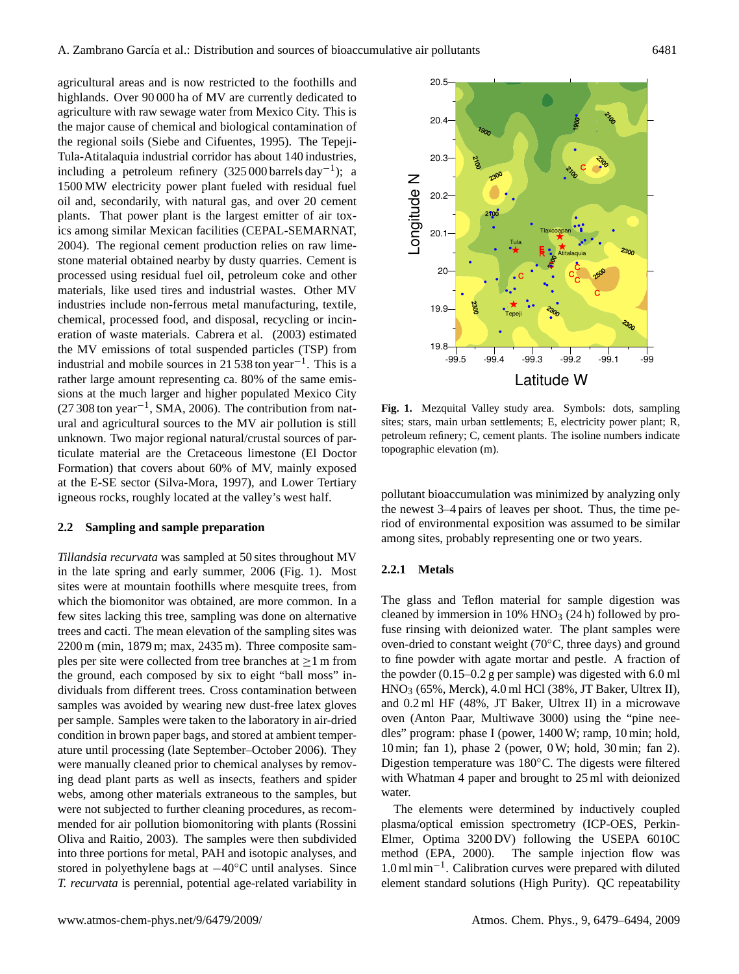agricultural areas and is now restricted to the foothills and highlands. Over 90 000 ha of MV are currently dedicated to agriculture with raw sewage water from Mexico City. This is the major cause of chemical and biological contamination of the regional soils (Siebe and Cifuentes, 1995). The Tepeji-Tula-Atitalaquia industrial corridor has about 140 industries, including a petroleum refinery  $(325 000 \text{ {barrels} day}^{-1})$ ; a 1500 MW electricity power plant fueled with residual fuel oil and, secondarily, with natural gas, and over 20 cement plants. That power plant is the largest emitter of air toxics among similar Mexican facilities (CEPAL-SEMARNAT, 2004). The regional cement production relies on raw limestone material obtained nearby by dusty quarries. Cement is processed using residual fuel oil, petroleum coke and other materials, like used tires and industrial wastes. Other MV industries include non-ferrous metal manufacturing, textile, chemical, processed food, and disposal, recycling or incineration of waste materials. Cabrera et al. (2003) estimated the MV emissions of total suspended particles (TSP) from industrial and mobile sources in 21 538 ton year<sup>-1</sup>. This is a rather large amount representing ca. 80% of the same emissions at the much larger and higher populated Mexico City (27 308 ton year−<sup>1</sup> , SMA, 2006). The contribution from natural and agricultural sources to the MV air pollution is still unknown. Two major regional natural/crustal sources of particulate material are the Cretaceous limestone (El Doctor Formation) that covers about 60% of MV, mainly exposed at the E-SE sector (Silva-Mora, 1997), and Lower Tertiary igneous rocks, roughly located at the valley's west half.

### **2.2 Sampling and sample preparation**

*Tillandsia recurvata* was sampled at 50 sites throughout MV in the late spring and early summer, 2006 (Fig. 1). Most sites were at mountain foothills where mesquite trees, from which the biomonitor was obtained, are more common. In a few sites lacking this tree, sampling was done on alternative trees and cacti. The mean elevation of the sampling sites was 2200 m (min, 1879 m; max, 2435 m). Three composite samples per site were collected from tree branches at  $\geq 1$  m from the ground, each composed by six to eight "ball moss" individuals from different trees. Cross contamination between samples was avoided by wearing new dust-free latex gloves per sample. Samples were taken to the laboratory in air-dried condition in brown paper bags, and stored at ambient temperature until processing (late September–October 2006). They were manually cleaned prior to chemical analyses by removing dead plant parts as well as insects, feathers and spider webs, among other materials extraneous to the samples, but were not subjected to further cleaning procedures, as recommended for air pollution biomonitoring with plants (Rossini Oliva and Raitio, 2003). The samples were then subdivided into three portions for metal, PAH and isotopic analyses, and stored in polyethylene bags at −40◦C until analyses. Since *T. recurvata* is perennial, potential age-related variability in



**Fig. 1.** Mezquital Valley study area. Symbols: dots, sampling sites; stars, main urban settlements; E, electricity power plant; R, petroleum refinery; C, cement plants. The isoline numbers indicate topographic elevation (m).

pollutant bioaccumulation was minimized by analyzing only the newest 3–4 pairs of leaves per shoot. Thus, the time period of environmental exposition was assumed to be similar among sites, probably representing one or two years.

### **2.2.1 Metals**

The glass and Teflon material for sample digestion was cleaned by immersion in  $10\%$  HNO<sub>3</sub> (24 h) followed by profuse rinsing with deionized water. The plant samples were oven-dried to constant weight (70◦C, three days) and ground to fine powder with agate mortar and pestle. A fraction of the powder (0.15–0.2 g per sample) was digested with 6.0 ml HNO<sup>3</sup> (65%, Merck), 4.0 ml HCl (38%, JT Baker, Ultrex II), and 0.2 ml HF (48%, JT Baker, Ultrex II) in a microwave oven (Anton Paar, Multiwave 3000) using the "pine needles" program: phase I (power, 1400 W; ramp, 10 min; hold, 10 min; fan 1), phase 2 (power, 0 W; hold, 30 min; fan 2). Digestion temperature was 180◦C. The digests were filtered with Whatman 4 paper and brought to 25 ml with deionized water.

The elements were determined by inductively coupled plasma/optical emission spectrometry (ICP-OES, Perkin-Elmer, Optima 3200 DV) following the USEPA 6010C method (EPA, 2000). The sample injection flow was 1.0 ml min−<sup>1</sup> . Calibration curves were prepared with diluted element standard solutions (High Purity). QC repeatability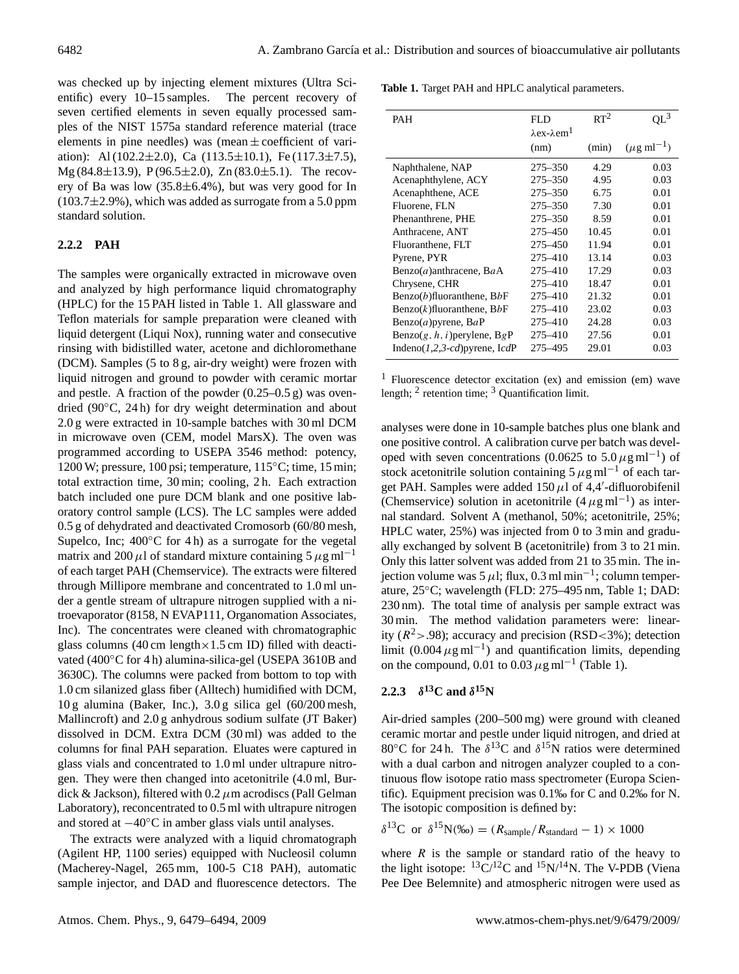was checked up by injecting element mixtures (Ultra Scientific) every 10–15 samples. The percent recovery of seven certified elements in seven equally processed samples of the NIST 1575a standard reference material (trace elements in pine needles) was (mean  $\pm$  coefficient of variation): Al (102.2 $\pm$ 2.0), Ca (113.5 $\pm$ 10.1), Fe (117.3 $\pm$ 7.5), Mg (84.8±13.9), P (96.5±2.0), Zn (83.0±5.1). The recovery of Ba was low  $(35.8\pm6.4\%)$ , but was very good for In  $(103.7\pm2.9\%)$ , which was added as surrogate from a 5.0 ppm standard solution.

## **2.2.2 PAH**

The samples were organically extracted in microwave oven and analyzed by high performance liquid chromatography (HPLC) for the 15 PAH listed in Table 1. All glassware and Teflon materials for sample preparation were cleaned with liquid detergent (Liqui Nox), running water and consecutive rinsing with bidistilled water, acetone and dichloromethane (DCM). Samples (5 to 8 g, air-dry weight) were frozen with liquid nitrogen and ground to powder with ceramic mortar and pestle. A fraction of the powder (0.25–0.5 g) was ovendried (90◦C, 24 h) for dry weight determination and about 2.0 g were extracted in 10-sample batches with 30 ml DCM in microwave oven (CEM, model MarsX). The oven was programmed according to USEPA 3546 method: potency, 1200 W; pressure, 100 psi; temperature, 115◦C; time, 15 min; total extraction time, 30 min; cooling, 2 h. Each extraction batch included one pure DCM blank and one positive laboratory control sample (LCS). The LC samples were added 0.5 g of dehydrated and deactivated Cromosorb (60/80 mesh, Supelco, Inc;  $400\degree$ C for 4 h) as a surrogate for the vegetal matrix and 200  $\mu$ l of standard mixture containing 5  $\mu$ g ml<sup>-1</sup> of each target PAH (Chemservice). The extracts were filtered through Millipore membrane and concentrated to 1.0 ml under a gentle stream of ultrapure nitrogen supplied with a nitroevaporator (8158, N EVAP111, Organomation Associates, Inc). The concentrates were cleaned with chromatographic glass columns (40 cm length $\times$ 1.5 cm ID) filled with deactivated (400◦C for 4 h) alumina-silica-gel (USEPA 3610B and 3630C). The columns were packed from bottom to top with 1.0 cm silanized glass fiber (Alltech) humidified with DCM, 10 g alumina (Baker, Inc.), 3.0 g silica gel (60/200 mesh, Mallincroft) and 2.0 g anhydrous sodium sulfate (JT Baker) dissolved in DCM. Extra DCM (30 ml) was added to the columns for final PAH separation. Eluates were captured in glass vials and concentrated to 1.0 ml under ultrapure nitrogen. They were then changed into acetonitrile (4.0 ml, Burdick & Jackson), filtered with  $0.2 \mu$ m acrodiscs (Pall Gelman Laboratory), reconcentrated to 0.5 ml with ultrapure nitrogen and stored at −40◦C in amber glass vials until analyses.

The extracts were analyzed with a liquid chromatograph (Agilent HP, 1100 series) equipped with Nucleosil column (Macherey-Nagel, 265 mm, 100-5 C18 PAH), automatic sample injector, and DAD and fluorescence detectors. The

**Table 1.** Target PAH and HPLC analytical parameters.

| PAH                                            | <b>FLD</b><br>$\lambda$ ex- $\lambda$ em <sup>1</sup> | $RT^2$ | $QL^3$                    |
|------------------------------------------------|-------------------------------------------------------|--------|---------------------------|
|                                                | (nm)                                                  | (min)  | $(\mu g \text{ ml}^{-1})$ |
| Naphthalene, NAP                               | 275–350                                               | 4.29   | 0.03                      |
| Acenaphthylene, ACY                            | $275 - 350$                                           | 4.95   | 0.03                      |
| Acenaphthene, ACE                              | $275 - 350$                                           | 6.75   | 0.01                      |
| Fluorene, FLN                                  | $275 - 350$                                           | 7.30   | 0.01                      |
| Phenanthrene, PHE                              | $275 - 350$                                           | 8.59   | 0.01                      |
| Anthracene, ANT                                | 275-450                                               | 10.45  | 0.01                      |
| Fluoranthene, FLT                              | 275-450                                               | 11.94  | 0.01                      |
| Pyrene, PYR                                    | $275 - 410$                                           | 13.14  | 0.03                      |
| Benzo $(a)$ anthracene, BaA                    | $275 - 410$                                           | 17.29  | 0.03                      |
| Chrysene, CHR                                  | 275-410                                               | 18.47  | 0.01                      |
| Benzo $(b)$ fluoranthene, B $bF$               | $275 - 410$                                           | 21.32  | 0.01                      |
| Benzo $(k)$ fluoranthene, BbF                  | 275-410                                               | 23.02  | 0.03                      |
| $Benzo(a)$ pyrene, $BaP$                       | 275-410                                               | 24.28  | 0.03                      |
| $\text{Benzo}(g, h, i)$ perylene, $\text{BgP}$ | 275-410                                               | 27.56  | 0.01                      |
| Indeno $(1,2,3-cd)$ pyrene, IcdP               | 275-495                                               | 29.01  | 0.03                      |

<sup>1</sup> Fluorescence detector excitation (ex) and emission (em) wave length;  $2$  retention time;  $3$  Quantification limit.

analyses were done in 10-sample batches plus one blank and one positive control. A calibration curve per batch was developed with seven concentrations (0.0625 to 5.0  $\mu$ g ml<sup>-1</sup>) of stock acetonitrile solution containing  $5 \mu$ g ml<sup>-1</sup> of each target PAH. Samples were added  $150 \mu l$  of 4,4'-difluorobifenil (Chemservice) solution in acetonitrile  $(4 \mu g \text{ ml}^{-1})$  as internal standard. Solvent A (methanol, 50%; acetonitrile, 25%; HPLC water, 25%) was injected from 0 to 3 min and gradually exchanged by solvent B (acetonitrile) from 3 to 21 min. Only this latter solvent was added from 21 to 35 min. The injection volume was 5  $\mu$ l; flux, 0.3 ml min<sup>-1</sup>; column temperature, 25◦C; wavelength (FLD: 275–495 nm, Table 1; DAD: 230 nm). The total time of analysis per sample extract was 30 min. The method validation parameters were: linearity ( $R^2$  > .98); accuracy and precision (RSD < 3%); detection limit  $(0.004 \,\mu g \,\text{ml}^{-1})$  and quantification limits, depending on the compound, 0.01 to 0.03  $\mu$ g ml<sup>-1</sup> (Table 1).

# **2.2.3**  $\delta^{13}$ **C** and  $\delta^{15}$ **N**

Air-dried samples (200–500 mg) were ground with cleaned ceramic mortar and pestle under liquid nitrogen, and dried at 80 $\rm ^{\circ}C$  for 24 h. The  $\delta^{13}C$  and  $\delta^{15}N$  ratios were determined with a dual carbon and nitrogen analyzer coupled to a continuous flow isotope ratio mass spectrometer (Europa Scientific). Equipment precision was 0.1‰ for C and 0.2‰ for N. The isotopic composition is defined by:

$$
\delta^{13}C \text{ or } \delta^{15}N(\text{\%o}) = (R_{sample}/R_{standard} - 1) \times 1000
$$

where  $R$  is the sample or standard ratio of the heavy to the light isotope:  ${}^{13}C/{}^{12}C$  and  ${}^{15}N/{}^{14}N$ . The V-PDB (Viena Pee Dee Belemnite) and atmospheric nitrogen were used as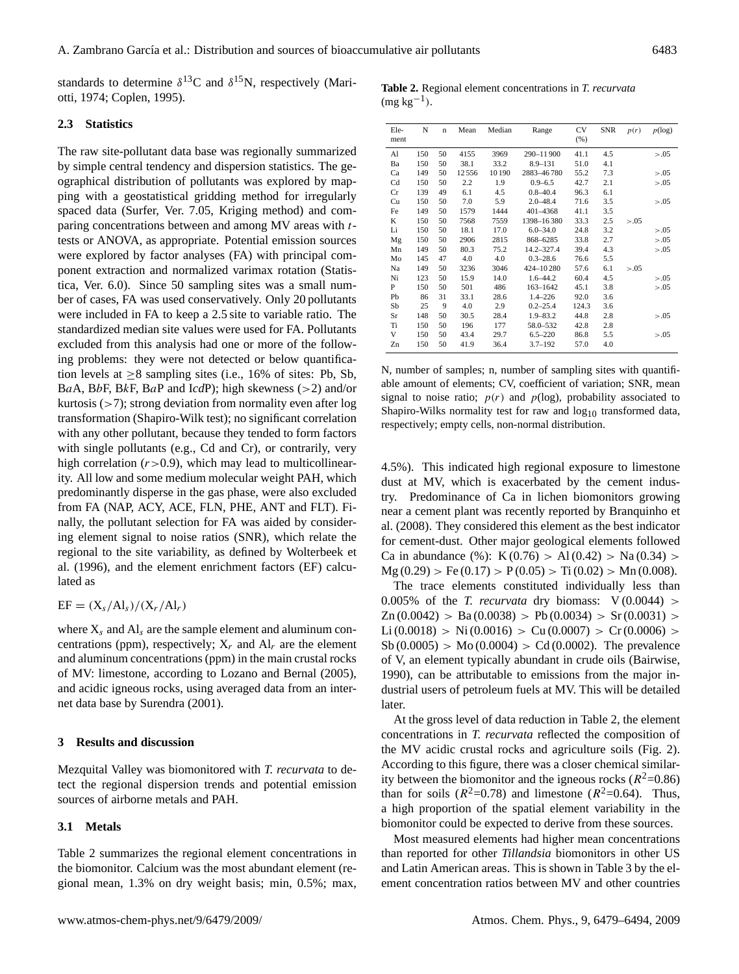standards to determine  $\delta^{13}$ C and  $\delta^{15}$ N, respectively (Mariotti, 1974; Coplen, 1995).

### **2.3 Statistics**

The raw site-pollutant data base was regionally summarized by simple central tendency and dispersion statistics. The geographical distribution of pollutants was explored by mapping with a geostatistical gridding method for irregularly spaced data (Surfer, Ver. 7.05, Kriging method) and comparing concentrations between and among MV areas with ttests or ANOVA, as appropriate. Potential emission sources were explored by factor analyses (FA) with principal component extraction and normalized varimax rotation (Statistica, Ver. 6.0). Since 50 sampling sites was a small number of cases, FA was used conservatively. Only 20 pollutants were included in FA to keep a 2.5 site to variable ratio. The standardized median site values were used for FA. Pollutants excluded from this analysis had one or more of the following problems: they were not detected or below quantification levels at  $\geq 8$  sampling sites (i.e., 16% of sites: Pb, Sb, BaA, BbF, BkF, BaP and I*cd*P); high skewness (>2) and/or kurtosis  $(>7)$ ; strong deviation from normality even after log transformation (Shapiro-Wilk test); no significant correlation with any other pollutant, because they tended to form factors with single pollutants (e.g., Cd and Cr), or contrarily, very high correlation  $(r>0.9)$ , which may lead to multicollinearity. All low and some medium molecular weight PAH, which predominantly disperse in the gas phase, were also excluded from FA (NAP, ACY, ACE, FLN, PHE, ANT and FLT). Finally, the pollutant selection for FA was aided by considering element signal to noise ratios (SNR), which relate the regional to the site variability, as defined by Wolterbeek et al. (1996), and the element enrichment factors (EF) calculated as

# $EF = (X_s / A l_s) / (X_r / A l_r)$

where  $X_s$  and  $AI_s$  are the sample element and aluminum concentrations (ppm), respectively;  $X_r$  and  $AI_r$  are the element and aluminum concentrations (ppm) in the main crustal rocks of MV: limestone, according to Lozano and Bernal (2005), and acidic igneous rocks, using averaged data from an internet data base by Surendra (2001).

### **3 Results and discussion**

Mezquital Valley was biomonitored with *T. recurvata* to detect the regional dispersion trends and potential emission sources of airborne metals and PAH.

### **3.1 Metals**

Table 2 summarizes the regional element concentrations in the biomonitor. Calcium was the most abundant element (regional mean, 1.3% on dry weight basis; min, 0.5%; max,

|                 | <b>Table 2.</b> Regional element concentrations in T. recurvata |  |
|-----------------|-----------------------------------------------------------------|--|
| $(mg kg^{-1}).$ |                                                                 |  |

| Ele-<br>ment | N   | $\mathbf n$ | Mean  | Median | Range        | CV<br>(% ) | SNR | p(r)   | $p(\log)$ |
|--------------|-----|-------------|-------|--------|--------------|------------|-----|--------|-----------|
| Al           | 150 | 50          | 4155  | 3969   | 290-11900    | 41.1       | 4.5 |        | > 0.05    |
| Ba           | 150 | 50          | 38.1  | 33.2   | $8.9 - 131$  | 51.0       | 4.1 |        |           |
| Ca           | 149 | 50          | 12556 | 10190  | 2883-46780   | 55.2       | 7.3 |        | > 0.05    |
| Cd           | 150 | 50          | 2.2   | 1.9    | $0.9 - 6.5$  | 42.7       | 2.1 |        | > 0.05    |
| Cr           | 139 | 49          | 6.1   | 4.5    | $0.8 - 40.4$ | 96.3       | 6.1 |        |           |
| Cu           | 150 | 50          | 7.0   | 5.9    | $2.0 - 48.4$ | 71.6       | 3.5 |        | > 0.05    |
| Fe           | 149 | 50          | 1579  | 1444   | 401-4368     | 41.1       | 3.5 |        |           |
| K            | 150 | 50          | 7568  | 7559   | 1398-16380   | 33.3       | 2.5 | > 0.05 |           |
| Li           | 150 | 50          | 18.1  | 17.0   | $6.0 - 34.0$ | 24.8       | 3.2 |        | > 0.05    |
| Mg           | 150 | 50          | 2906  | 2815   | 868-6285     | 33.8       | 2.7 |        | > 0.05    |
| Mn           | 149 | 50          | 80.3  | 75.2   | 14.2-327.4   | 39.4       | 4.3 |        | > 0.05    |
| Mo           | 145 | 47          | 4.0   | 4.0    | $0.3 - 28.6$ | 76.6       | 5.5 |        |           |
| Na           | 149 | 50          | 3236  | 3046   | 424-10280    | 57.6       | 6.1 | > 0.05 |           |
| Ni           | 123 | 50          | 15.9  | 14.0   | $1.6 - 44.2$ | 60.4       | 4.5 |        | > 0.05    |
| P            | 150 | 50          | 501   | 486    | 163-1642     | 45.1       | 3.8 |        | > 0.05    |
| Pb           | 86  | 31          | 33.1  | 28.6   | $1.4 - 226$  | 92.0       | 3.6 |        |           |
| Sb           | 25  | 9           | 4.0   | 2.9    | $0.2 - 25.4$ | 124.3      | 3.6 |        |           |
| Sr           | 148 | 50          | 30.5  | 28.4   | $1.9 - 83.2$ | 44.8       | 2.8 |        | > 0.05    |
| Ti           | 150 | 50          | 196   | 177    | 58.0-532     | 42.8       | 2.8 |        |           |
| V            | 150 | 50          | 43.4  | 29.7   | $6.5 - 220$  | 86.8       | 5.5 |        | > 0.05    |
| Zn           | 150 | 50          | 41.9  | 36.4   | $3.7 - 192$  | 57.0       | 4.0 |        |           |

N, number of samples; n, number of sampling sites with quantifiable amount of elements; CV, coefficient of variation; SNR, mean signal to noise ratio;  $p(r)$  and  $p(\log)$ , probability associated to Shapiro-Wilks normality test for raw and  $log_{10}$  transformed data, respectively; empty cells, non-normal distribution.

4.5%). This indicated high regional exposure to limestone dust at MV, which is exacerbated by the cement industry. Predominance of Ca in lichen biomonitors growing near a cement plant was recently reported by Branquinho et al. (2008). They considered this element as the best indicator for cement-dust. Other major geological elements followed Ca in abundance (%): K (0.76) > Al (0.42) > Na (0.34) >  $Mg (0.29) > Fe (0.17) > P (0.05) > Ti (0.02) > Mn (0.008).$ 

The trace elements constituted individually less than 0.005% of the *T. recurvata* dry biomass:  $V(0.0044)$  >  $Zn (0.0042) > Ba(0.0038) > Pb(0.0034) > Sr(0.0031) >$  $Li (0.0018) > Ni (0.0016) > Cu (0.0007) > Cr (0.0006) >$  $Sb(0.0005) > Mo(0.0004) > Cd(0.0002)$ . The prevalence of V, an element typically abundant in crude oils (Bairwise, 1990), can be attributable to emissions from the major industrial users of petroleum fuels at MV. This will be detailed later.

At the gross level of data reduction in Table 2, the element concentrations in *T. recurvata* reflected the composition of the MV acidic crustal rocks and agriculture soils (Fig. 2). According to this figure, there was a closer chemical similarity between the biomonitor and the igneous rocks ( $R^2$ =0.86) than for soils ( $R^2$ =0.78) and limestone ( $R^2$ =0.64). Thus, a high proportion of the spatial element variability in the biomonitor could be expected to derive from these sources.

Most measured elements had higher mean concentrations than reported for other *Tillandsia* biomonitors in other US and Latin American areas. This is shown in Table 3 by the element concentration ratios between MV and other countries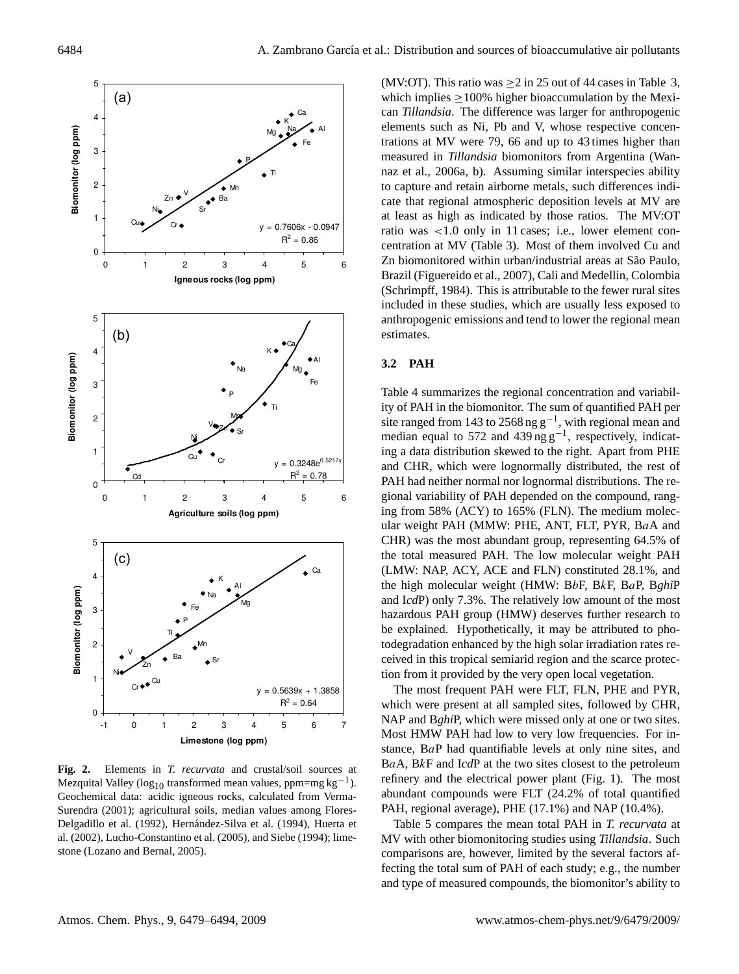

**Fig. 2.** Elements in *T. recurvata* and crustal/soil sources at Mezquital Valley ( $log_{10}$  transformed mean values, ppm=mg kg<sup>-1</sup>). Geochemical data: acidic igneous rocks, calculated from Verma-Surendra (2001); agricultural soils, median values among Flores-Delgadillo et al. (1992), Hernández-Silva et al. (1994), Huerta et al. (2002), Lucho-Constantino et al. (2005), and Siebe (1994); limestone (Lozano and Bernal, 2005).

(MV:OT). This ratio was  $\geq 2$  in 25 out of 44 cases in Table 3, which implies >100% higher bioaccumulation by the Mexican *Tillandsia*. The difference was larger for anthropogenic elements such as Ni, Pb and V, whose respective concentrations at MV were 79, 66 and up to 43 times higher than measured in *Tillandsia* biomonitors from Argentina (Wannaz et al., 2006a, b). Assuming similar interspecies ability to capture and retain airborne metals, such differences indicate that regional atmospheric deposition levels at MV are at least as high as indicated by those ratios. The MV:OT ratio was <1.0 only in 11 cases; i.e., lower element concentration at MV (Table 3). Most of them involved Cu and Zn biomonitored within urban/industrial areas at São Paulo, Brazil (Figuereido et al., 2007), Cali and Medellin, Colombia (Schrimpff, 1984). This is attributable to the fewer rural sites included in these studies, which are usually less exposed to anthropogenic emissions and tend to lower the regional mean estimates.

### **3.2 PAH**

Table 4 summarizes the regional concentration and variability of PAH in the biomonitor. The sum of quantified PAH per site ranged from 143 to 2568 ng  $g^{-1}$ , with regional mean and median equal to 572 and 439 ng g<sup>-1</sup>, respectively, indicating a data distribution skewed to the right. Apart from PHE and CHR, which were lognormally distributed, the rest of PAH had neither normal nor lognormal distributions. The regional variability of PAH depended on the compound, ranging from 58% (ACY) to 165% (FLN). The medium molecular weight PAH (MMW: PHE, ANT, FLT, PYR, BaA and CHR) was the most abundant group, representing 64.5% of the total measured PAH. The low molecular weight PAH (LMW: NAP, ACY, ACE and FLN) constituted 28.1%, and the high molecular weight (HMW: BbF, BkF, BaP, B*ghi*P and I*cd*P) only 7.3%. The relatively low amount of the most hazardous PAH group (HMW) deserves further research to be explained. Hypothetically, it may be attributed to photodegradation enhanced by the high solar irradiation rates received in this tropical semiarid region and the scarce protection from it provided by the very open local vegetation.

The most frequent PAH were FLT, FLN, PHE and PYR, which were present at all sampled sites, followed by CHR, NAP and B*ghi*P, which were missed only at one or two sites. Most HMW PAH had low to very low frequencies. For instance, BaP had quantifiable levels at only nine sites, and BaA, BkF and I*cd*P at the two sites closest to the petroleum refinery and the electrical power plant (Fig. 1). The most abundant compounds were FLT (24.2% of total quantified PAH, regional average), PHE (17.1%) and NAP (10.4%).

Table 5 compares the mean total PAH in *T. recurvata* at MV with other biomonitoring studies using *Tillandsia*. Such comparisons are, however, limited by the several factors affecting the total sum of PAH of each study; e.g., the number and type of measured compounds, the biomonitor's ability to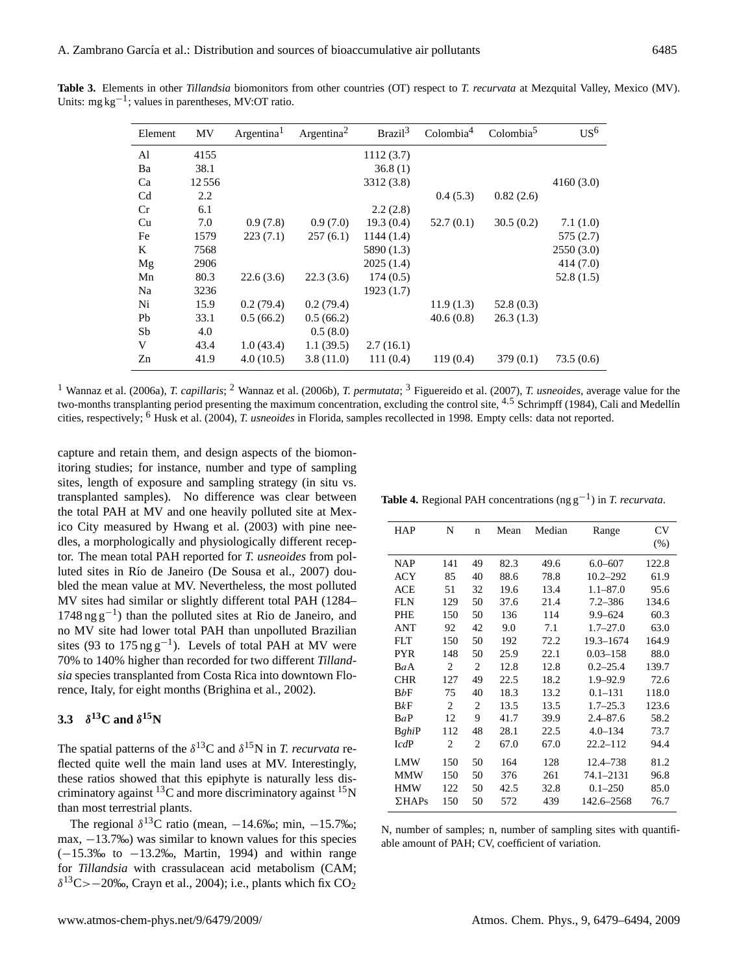| Element        | <b>MV</b> | Argentina <sup>1</sup> | Argentina <sup>2</sup> | Brazil <sup>3</sup> | Colombia <sup>4</sup> | Colombia  | $US^6$    |
|----------------|-----------|------------------------|------------------------|---------------------|-----------------------|-----------|-----------|
| Al             | 4155      |                        |                        | 1112(3.7)           |                       |           |           |
| Ba             | 38.1      |                        |                        | 36.8(1)             |                       |           |           |
| Ca             | 12556     |                        |                        | 3312 (3.8)          |                       |           | 4160(3.0) |
| C <sub>d</sub> | 2.2       |                        |                        |                     | 0.4(5.3)              | 0.82(2.6) |           |
| Cr             | 6.1       |                        |                        | 2.2(2.8)            |                       |           |           |
| Cu             | 7.0       | 0.9(7.8)               | 0.9(7.0)               | 19.3(0.4)           | 52.7(0.1)             | 30.5(0.2) | 7.1(1.0)  |
| Fe             | 1579      | 223(7.1)               | 257(6.1)               | 1144(1.4)           |                       |           | 575(2.7)  |
| K              | 7568      |                        |                        | 5890 (1.3)          |                       |           | 2550(3.0) |
| Mg             | 2906      |                        |                        | 2025(1.4)           |                       |           | 414(7.0)  |
| Mn             | 80.3      | 22.6(3.6)              | 22.3(3.6)              | 174(0.5)            |                       |           | 52.8(1.5) |
| Na             | 3236      |                        |                        | 1923(1.7)           |                       |           |           |
| Ni             | 15.9      | 0.2(79.4)              | 0.2(79.4)              |                     | 11.9(1.3)             | 52.8(0.3) |           |
| Pb             | 33.1      | 0.5(66.2)              | 0.5(66.2)              |                     | 40.6(0.8)             | 26.3(1.3) |           |
| Sb             | 4.0       |                        | 0.5(8.0)               |                     |                       |           |           |
| V              | 43.4      | 1.0(43.4)              | 1.1(39.5)              | 2.7(16.1)           |                       |           |           |
| Zn             | 41.9      | 4.0(10.5)              | 3.8(11.0)              | 111(0.4)            | 119(0.4)              | 379(0.1)  | 73.5(0.6) |

**Table 3.** Elements in other *Tillandsia* biomonitors from other countries (OT) respect to *T. recurvata* at Mezquital Valley, Mexico (MV). Units: mg kg−<sup>1</sup> ; values in parentheses, MV:OT ratio.

<sup>1</sup> Wannaz et al. (2006a), *T. capillaris*; <sup>2</sup> Wannaz et al. (2006b), *T. permutata*; <sup>3</sup> Figuereido et al. (2007), *T. usneoides*, average value for the two-months transplanting period presenting the maximum concentration, excluding the control site,  $4.5$  Schrimpff (1984), Cali and Medellín cities, respectively; <sup>6</sup> Husk et al. (2004), *T. usneoides* in Florida, samples recollected in 1998. Empty cells: data not reported.

capture and retain them, and design aspects of the biomonitoring studies; for instance, number and type of sampling sites, length of exposure and sampling strategy (in situ vs. transplanted samples). No difference was clear between the total PAH at MV and one heavily polluted site at Mexico City measured by Hwang et al. (2003) with pine needles, a morphologically and physiologically different receptor. The mean total PAH reported for *T. usneoides* from polluted sites in Río de Janeiro (De Sousa et al., 2007) doubled the mean value at MV. Nevertheless, the most polluted MV sites had similar or slightly different total PAH (1284– 1748 ng g−<sup>1</sup> ) than the polluted sites at Rio de Janeiro, and no MV site had lower total PAH than unpolluted Brazilian sites (93 to  $175 \text{ ng g}^{-1}$ ). Levels of total PAH at MV were 70% to 140% higher than recorded for two different *Tillandsia* species transplanted from Costa Rica into downtown Florence, Italy, for eight months (Brighina et al., 2002).

# **3.3**  $\delta^{13}$ **C** and  $\delta^{15}$ **N**

The spatial patterns of the  $\delta^{13}$ C and  $\delta^{15}$ N in *T. recurvata* reflected quite well the main land uses at MV. Interestingly, these ratios showed that this epiphyte is naturally less discriminatory against  ${}^{13}C$  and more discriminatory against  ${}^{15}N$ than most terrestrial plants.

The regional  $\delta^{13}$ C ratio (mean,  $-14.6\%$ ; min,  $-15.7\%$ ; max, −13.7‰) was similar to known values for this species (−15.3‰ to −13.2‰, Martin, 1994) and within range for *Tillandsia* with crassulacean acid metabolism (CAM;  $\delta^{13}$ C>−20‰, Crayn et al., 2004); i.e., plants which fix CO<sub>2</sub>

| <b>HAP</b>    | N              | $\mathbf n$    | Mean | Median | Range        | CV    |
|---------------|----------------|----------------|------|--------|--------------|-------|
|               |                |                |      |        |              | (% )  |
| <b>NAP</b>    | 141            | 49             | 82.3 | 49.6   | $6.0 - 607$  | 122.8 |
| ACY           | 85             | 40             | 88.6 | 78.8   | $10.2 - 292$ | 61.9  |
| ACE           | 51             | 32             | 19.6 | 13.4   | $1.1 - 87.0$ | 95.6  |
| <b>FLN</b>    | 129            | 50             | 37.6 | 21.4   | $7.2 - 386$  | 134.6 |
| PHE           | 150            | 50             | 136  | 114    | $9.9 - 624$  | 60.3  |
| <b>ANT</b>    | 92             | 42             | 9.0  | 7.1    | $1.7 - 27.0$ | 63.0  |
| <b>FLT</b>    | 150            | 50             | 192  | 72.2   | 19.3-1674    | 164.9 |
| <b>PYR</b>    | 148            | 50             | 25.9 | 22.1   | $0.03 - 158$ | 88.0  |
| BaA           | 2              | $\overline{c}$ | 12.8 | 12.8   | $0.2 - 25.4$ | 139.7 |
| <b>CHR</b>    | 127            | 49             | 22.5 | 18.2   | $1.9 - 92.9$ | 72.6  |
| BbF           | 75             | 40             | 18.3 | 13.2   | $0.1 - 131$  | 118.0 |
| BkF           | $\overline{c}$ | $\overline{c}$ | 13.5 | 13.5   | $1.7 - 25.3$ | 123.6 |
| BaP           | 12             | 9              | 41.7 | 39.9   | $2.4 - 87.6$ | 58.2  |
| BghiP         | 112            | 48             | 28.1 | 22.5   | $4.0 - 134$  | 73.7  |
| IcdP          | $\overline{2}$ | $\overline{2}$ | 67.0 | 67.0   | $22.2 - 112$ | 94.4  |
| <b>LMW</b>    | 150            | 50             | 164  | 128    | 12.4-738     | 81.2  |
| <b>MMW</b>    | 150            | 50             | 376  | 261    | 74.1-2131    | 96.8  |
| <b>HMW</b>    | 122            | 50             | 42.5 | 32.8   | $0.1 - 250$  | 85.0  |
| $\Sigma$ HAPs | 150            | 50             | 572  | 439    | 142.6–2568   | 76.7  |

**Table 4.** Regional PAH concentrations (ng g−<sup>1</sup> ) in *T. recurvata*.

N, number of samples; n, number of sampling sites with quantifiable amount of PAH; CV, coefficient of variation.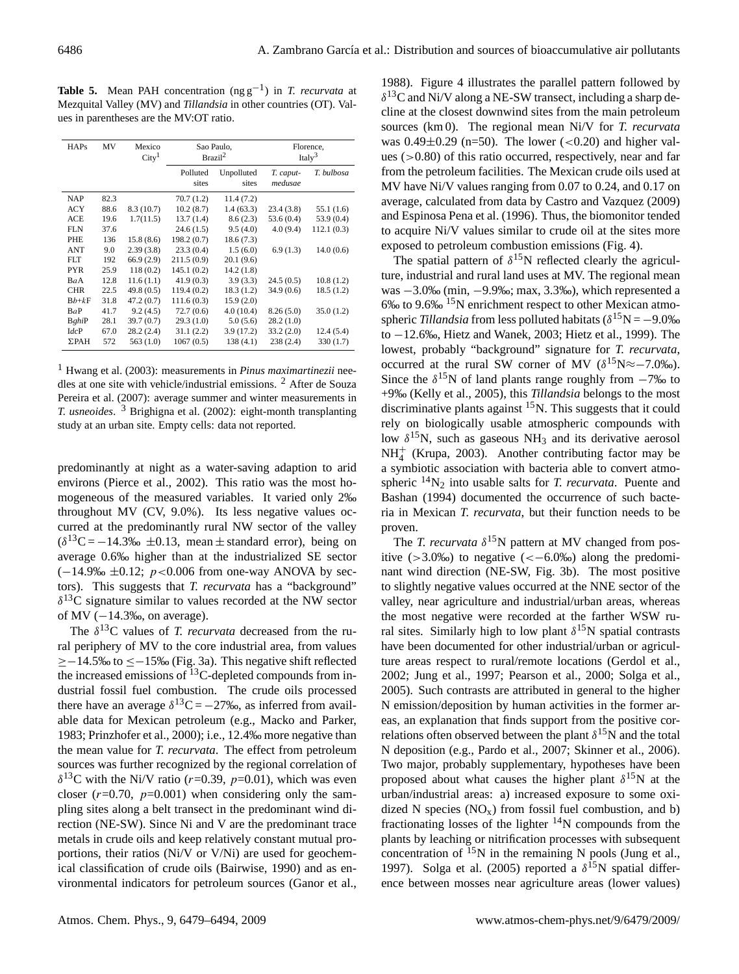**Table 5.** Mean PAH concentration (ng g−<sup>1</sup> ) in *T. recurvata* at Mezquital Valley (MV) and *Tillandsia* in other countries (OT). Values in parentheses are the MV:OT ratio.

| <b>HAPs</b>  | MV   | Mexico<br>City <sup>1</sup> | Sao Paulo,<br>Brazil <sup>2</sup> |                     | Florence,<br>Ital $v^3$ |            |  |
|--------------|------|-----------------------------|-----------------------------------|---------------------|-------------------------|------------|--|
|              |      |                             | Polluted<br>sites                 | Unpolluted<br>sites | T. caput-<br>medusae    | T. bulbosa |  |
| <b>NAP</b>   | 82.3 |                             | 70.7 (1.2)                        | 11.4(7.2)           |                         |            |  |
| <b>ACY</b>   | 88.6 | 8.3(10.7)                   | 10.2(8.7)                         | 1.4(63.3)           | 23.4(3.8)               | 55.1 (1.6) |  |
| <b>ACE</b>   | 19.6 | 1.7(11.5)                   | 13.7(1.4)                         | 8.6(2.3)            | 53.6 (0.4)              | 53.9 (0.4) |  |
| <b>FLN</b>   | 37.6 |                             | 24.6(1.5)                         | 9.5(4.0)            | 4.0(9.4)                | 112.1(0.3) |  |
| PHE          | 136  | 15.8(8.6)                   | 198.2 (0.7)                       | 18.6(7.3)           |                         |            |  |
| <b>ANT</b>   | 9.0  | 2.39(3.8)                   | 23.3(0.4)                         | 1.5(6.0)            | 6.9(1.3)                | 14.0(0.6)  |  |
| FLT.         | 192  | 66.9(2.9)                   | 211.5 (0.9)                       | 20.1(9.6)           |                         |            |  |
| <b>PYR</b>   | 25.9 | 118(0.2)                    | 145.1 (0.2)                       | 14.2(1.8)           |                         |            |  |
| BaA          | 12.8 | 11.6(1.1)                   | 41.9(0.3)                         | 3.9(3.3)            | 24.5(0.5)               | 10.8(1.2)  |  |
| <b>CHR</b>   | 22.5 | 49.8(0.5)                   | 119.4 (0.2)                       | 18.3(1.2)           | 34.9(0.6)               | 18.5(1.2)  |  |
| $Bb+kF$      | 31.8 | 47.2(0.7)                   | 111.6(0.3)                        | 15.9(2.0)           |                         |            |  |
| BaP          | 41.7 | 9.2(4.5)                    | 72.7(0.6)                         | 4.0(10.4)           | 8.26(5.0)               | 35.0(1.2)  |  |
| BghiP        | 28.1 | 39.7 (0.7)                  | 29.3(1.0)                         | 5.0(5.6)            | 28.2(1.0)               |            |  |
| IdcP         | 67.0 | 28.2(2.4)                   | 31.1(2.2)                         | 3.9(17.2)           | 33.2(2.0)               | 12.4 (5.4) |  |
| $\Sigma$ PAH | 572  | 563(1.0)                    | 1067(0.5)                         | 138 (4.1)           | 238(2.4)                | 330 (1.7)  |  |

<sup>1</sup> Hwang et al. (2003): measurements in *Pinus maximartinezii* needles at one site with vehicle/industrial emissions. <sup>2</sup> After de Souza Pereira et al. (2007): average summer and winter measurements in *T. usneoides*. <sup>3</sup> Brighigna et al. (2002): eight-month transplanting study at an urban site. Empty cells: data not reported.

predominantly at night as a water-saving adaption to arid environs (Pierce et al., 2002). This ratio was the most homogeneous of the measured variables. It varied only 2‰ throughout MV (CV, 9.0%). Its less negative values occurred at the predominantly rural NW sector of the valley  $(\delta^{13}C = -14.3\% \text{ m} \pm 0.13, \text{ mean} \pm \text{ standard error})$ , being on average 0.6‰ higher than at the industrialized SE sector  $(-14.9\% \pm 0.12; p<0.006$  from one-way ANOVA by sectors). This suggests that *T. recurvata* has a "background"  $\delta^{13}$ C signature similar to values recorded at the NW sector of MV  $(-14.3\%)$ , on average).

The  $\delta^{13}$ C values of *T. recurvata* decreased from the rural periphery of MV to the core industrial area, from values ≥−14.5‰ to ≤−15‰ (Fig. 3a). This negative shift reflected the increased emissions of <sup>13</sup>C-depleted compounds from industrial fossil fuel combustion. The crude oils processed there have an average  $\delta^{13}C = -27\%$ , as inferred from available data for Mexican petroleum (e.g., Macko and Parker, 1983; Prinzhofer et al., 2000); i.e., 12.4‰ more negative than the mean value for *T. recurvata*. The effect from petroleum sources was further recognized by the regional correlation of  $\delta^{13}$ C with the Ni/V ratio (r=0.39, p=0.01), which was even closer ( $r=0.70$ ,  $p=0.001$ ) when considering only the sampling sites along a belt transect in the predominant wind direction (NE-SW). Since Ni and V are the predominant trace metals in crude oils and keep relatively constant mutual proportions, their ratios (Ni/V or V/Ni) are used for geochemical classification of crude oils (Bairwise, 1990) and as environmental indicators for petroleum sources (Ganor et al.,

1988). Figure 4 illustrates the parallel pattern followed by  $\delta^{13}$ C and Ni/V along a NE-SW transect, including a sharp decline at the closest downwind sites from the main petroleum sources (km 0). The regional mean Ni/V for *T. recurvata* was  $0.49\pm0.29$  (n=50). The lower (<0.20) and higher values  $(>0.80)$  of this ratio occurred, respectively, near and far from the petroleum facilities. The Mexican crude oils used at MV have Ni/V values ranging from 0.07 to 0.24, and 0.17 on average, calculated from data by Castro and Vazquez (2009) and Espinosa Pena et al. (1996). Thus, the biomonitor tended to acquire Ni/V values similar to crude oil at the sites more exposed to petroleum combustion emissions (Fig. 4).

The spatial pattern of  $\delta^{15}N$  reflected clearly the agriculture, industrial and rural land uses at MV. The regional mean was −3.0‰ (min, −9.9‰; max, 3.3‰), which represented a 6‰ to 9.6‰ <sup>15</sup>N enrichment respect to other Mexican atmospheric *Tillandsia* from less polluted habitats ( $\delta^{15}N = -9.0\%$ to −12.6‰, Hietz and Wanek, 2003; Hietz et al., 1999). The lowest, probably "background" signature for *T. recurvata*, occurred at the rural SW corner of MV ( $\delta^{15}N \approx -7.0\%$ ). Since the  $\delta^{15}N$  of land plants range roughly from  $-7\%$  to +9‰ (Kelly et al., 2005), this *Tillandsia* belongs to the most discriminative plants against  ${}^{15}N$ . This suggests that it could rely on biologically usable atmospheric compounds with low  $\delta^{15}$ N, such as gaseous NH<sub>3</sub> and its derivative aerosol NH<sup>+</sup> 4 (Krupa, 2003). Another contributing factor may be a symbiotic association with bacteria able to convert atmospheric  $^{14}N_2$  into usable salts for *T. recurvata*. Puente and Bashan (1994) documented the occurrence of such bacteria in Mexican *T. recurvata*, but their function needs to be proven.

The *T. recurvata*  $\delta^{15}N$  pattern at MV changed from positive  $(>3.0\%)$  to negative  $(<-6.0\%)$  along the predominant wind direction (NE-SW, Fig. 3b). The most positive to slightly negative values occurred at the NNE sector of the valley, near agriculture and industrial/urban areas, whereas the most negative were recorded at the farther WSW rural sites. Similarly high to low plant  $\delta^{15}N$  spatial contrasts have been documented for other industrial/urban or agriculture areas respect to rural/remote locations (Gerdol et al., 2002; Jung et al., 1997; Pearson et al., 2000; Solga et al., 2005). Such contrasts are attributed in general to the higher N emission/deposition by human activities in the former areas, an explanation that finds support from the positive correlations often observed between the plant  $\delta^{15}$ N and the total N deposition (e.g., Pardo et al., 2007; Skinner et al., 2006). Two major, probably supplementary, hypotheses have been proposed about what causes the higher plant  $\delta^{15}N$  at the urban/industrial areas: a) increased exposure to some oxidized N species  $(NO_x)$  from fossil fuel combustion, and b) fractionating losses of the lighter  $14N$  compounds from the plants by leaching or nitrification processes with subsequent concentration of  $^{15}N$  in the remaining N pools (Jung et al., 1997). Solga et al. (2005) reported a  $\delta^{15}N$  spatial difference between mosses near agriculture areas (lower values)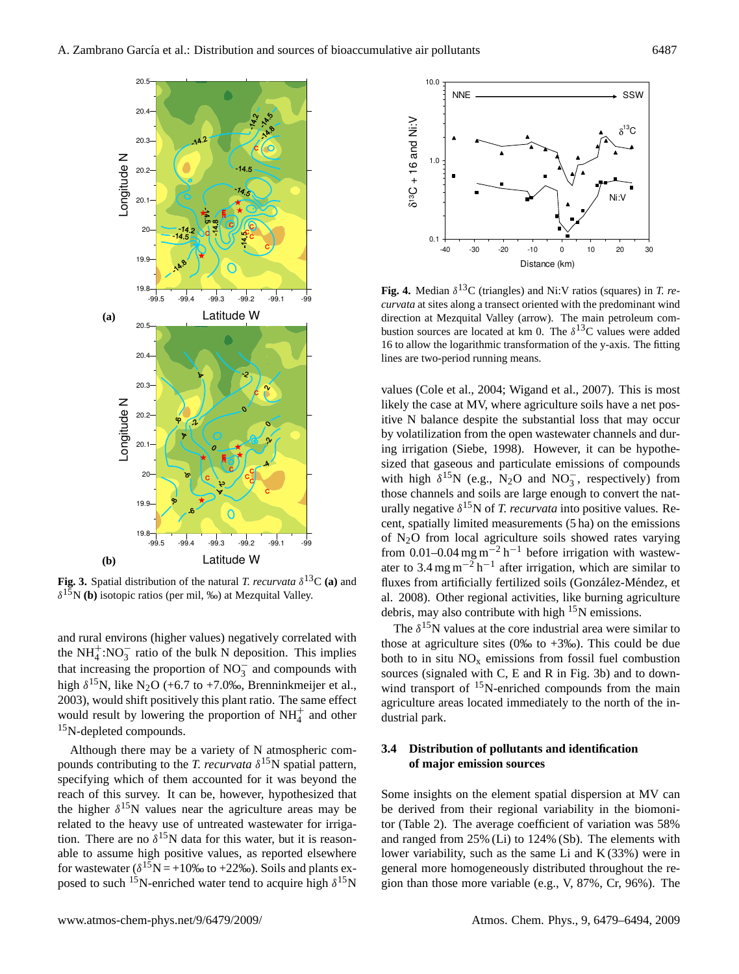

**Fig. 3.** Spatial distribution of the natural *T. recurvata*  $\delta^{13}C$  (a) and  $\delta^{15}$ N (b) isotopic ratios (per mil, ‰) at Mezquital Valley.

and rural environs (higher values) negatively correlated with the NH<sup> $+$ </sup>:NO<sub>3</sub> ratio of the bulk N deposition. This implies that increasing the proportion of  $NO_3^-$  and compounds with high  $\delta^{15}$ N, like N<sub>2</sub>O (+6.7 to +7.0‰, Brenninkmeijer et al., 2003), would shift positively this plant ratio. The same effect would result by lowering the proportion of  $NH<sub>4</sub><sup>+</sup>$  and other  $15$ N-depleted compounds.

Although there may be a variety of N atmospheric compounds contributing to the *T. recurvata*  $\delta^{15}$ N spatial pattern, specifying which of them accounted for it was beyond the reach of this survey. It can be, however, hypothesized that the higher  $\delta^{15}$ N values near the agriculture areas may be related to the heavy use of untreated wastewater for irrigation. There are no  $\delta^{15}N$  data for this water, but it is reasonable to assume high positive values, as reported elsewhere for wastewater ( $\delta^{15}N = +10\%$  to +22‰). Soils and plants exposed to such <sup>15</sup>N-enriched water tend to acquire high  $\delta^{15}N$ 



**Fig. 4.** Median  $\delta^{13}$ C (triangles) and Ni:V ratios (squares) in *T. recurvata* at sites along a transect oriented with the predominant wind direction at Mezquital Valley (arrow). The main petroleum combustion sources are located at km 0. The  $\delta^{13}$ C values were added 16 to allow the logarithmic transformation of the y-axis. The fitting lines are two-period running means.

values (Cole et al., 2004; Wigand et al., 2007). This is most likely the case at MV, where agriculture soils have a net positive N balance despite the substantial loss that may occur by volatilization from the open wastewater channels and during irrigation (Siebe, 1998). However, it can be hypothesized that gaseous and particulate emissions of compounds with high  $\delta^{15}N$  (e.g., N<sub>2</sub>O and NO<sub>3</sub>, respectively) from those channels and soils are large enough to convert the naturally negative  $\delta^{15}$ N of *T. recurvata* into positive values. Recent, spatially limited measurements (5 ha) on the emissions of N2O from local agriculture soils showed rates varying from 0.01–0.04 mg m<sup>-2</sup> h<sup>-1</sup> before irrigation with wastewater to 3.4 mg m<sup>-2</sup> h<sup>-1</sup> after irrigation, which are similar to fluxes from artificially fertilized soils (González-Méndez, et al. 2008). Other regional activities, like burning agriculture debris, may also contribute with high  $15N$  emissions.

The  $\delta^{15}$ N values at the core industrial area were similar to those at agriculture sites (0‰ to  $+3$ ‰). This could be due both to in situ  $NO<sub>x</sub>$  emissions from fossil fuel combustion sources (signaled with C, E and R in Fig. 3b) and to downwind transport of <sup>15</sup>N-enriched compounds from the main agriculture areas located immediately to the north of the industrial park.

# **3.4 Distribution of pollutants and identification of major emission sources**

Some insights on the element spatial dispersion at MV can be derived from their regional variability in the biomonitor (Table 2). The average coefficient of variation was 58% and ranged from 25% (Li) to 124% (Sb). The elements with lower variability, such as the same Li and  $K(33%)$  were in general more homogeneously distributed throughout the region than those more variable (e.g., V, 87%, Cr, 96%). The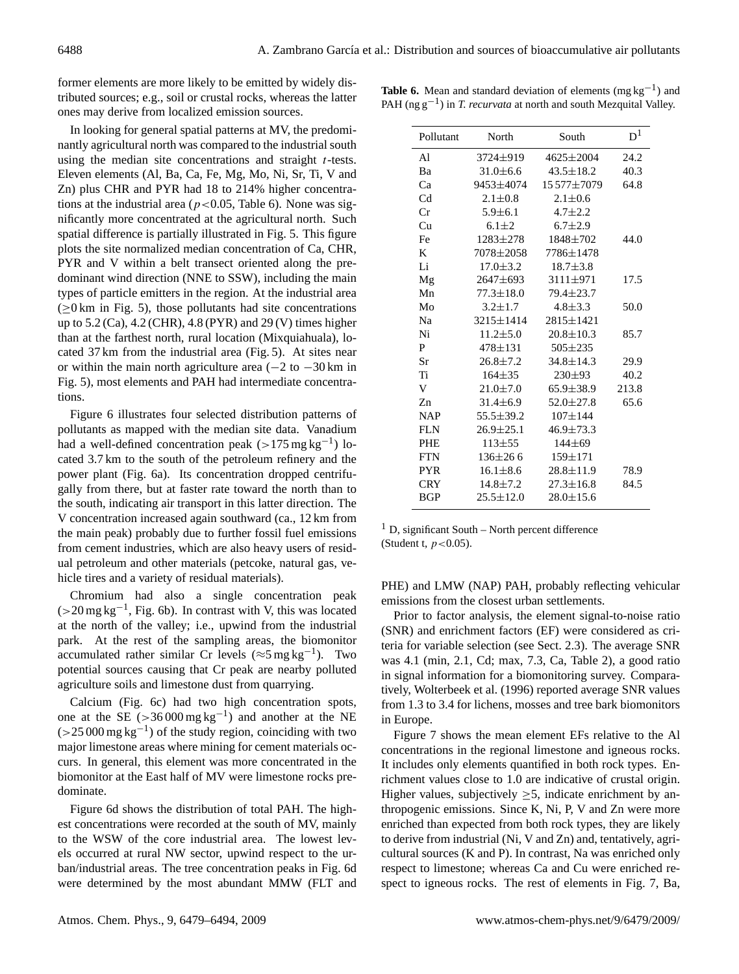former elements are more likely to be emitted by widely distributed sources; e.g., soil or crustal rocks, whereas the latter ones may derive from localized emission sources.

In looking for general spatial patterns at MV, the predominantly agricultural north was compared to the industrial south using the median site concentrations and straight  $t$ -tests. Eleven elements (Al, Ba, Ca, Fe, Mg, Mo, Ni, Sr, Ti, V and Zn) plus CHR and PYR had 18 to 214% higher concentrations at the industrial area ( $p < 0.05$ , Table 6). None was significantly more concentrated at the agricultural north. Such spatial difference is partially illustrated in Fig. 5. This figure plots the site normalized median concentration of Ca, CHR, PYR and V within a belt transect oriented along the predominant wind direction (NNE to SSW), including the main types of particle emitters in the region. At the industrial area  $(\geq 0 \text{ km in Fig. 5})$ , those pollutants had site concentrations up to 5.2 (Ca), 4.2 (CHR), 4.8 (PYR) and 29 (V) times higher than at the farthest north, rural location (Mixquiahuala), located 37 km from the industrial area (Fig. 5). At sites near or within the main north agriculture area  $(-2)$  to  $-30$  km in Fig. 5), most elements and PAH had intermediate concentrations.

Figure 6 illustrates four selected distribution patterns of pollutants as mapped with the median site data. Vanadium had a well-defined concentration peak  $(>175 \text{ mg kg}^{-1})$  located 3.7 km to the south of the petroleum refinery and the power plant (Fig. 6a). Its concentration dropped centrifugally from there, but at faster rate toward the north than to the south, indicating air transport in this latter direction. The V concentration increased again southward (ca., 12 km from the main peak) probably due to further fossil fuel emissions from cement industries, which are also heavy users of residual petroleum and other materials (petcoke, natural gas, vehicle tires and a variety of residual materials).

Chromium had also a single concentration peak (>20 mg kg−<sup>1</sup> , Fig. 6b). In contrast with V, this was located at the north of the valley; i.e., upwind from the industrial park. At the rest of the sampling areas, the biomonitor accumulated rather similar Cr levels ( $\approx$ 5 mg kg<sup>-1</sup>). Two potential sources causing that Cr peak are nearby polluted agriculture soils and limestone dust from quarrying.

Calcium (Fig. 6c) had two high concentration spots, one at the SE ( $>36000$  mg kg<sup>-1</sup>) and another at the NE  $(>25000 \,\text{mg}\,\text{kg}^{-1})$  of the study region, coinciding with two major limestone areas where mining for cement materials occurs. In general, this element was more concentrated in the biomonitor at the East half of MV were limestone rocks predominate.

Figure 6d shows the distribution of total PAH. The highest concentrations were recorded at the south of MV, mainly to the WSW of the core industrial area. The lowest levels occurred at rural NW sector, upwind respect to the urban/industrial areas. The tree concentration peaks in Fig. 6d were determined by the most abundant MMW (FLT and

| Pollutant      | North           | South           | $D^1$ |
|----------------|-----------------|-----------------|-------|
| Al             | 3724±919        | $4625 \pm 2004$ | 24.2  |
| Ba             | $31.0 \pm 6.6$  | $43.5 \pm 18.2$ | 40.3  |
| Ca             | 9453±4074       | 15577±7079      | 64.8  |
| C <sub>d</sub> | $2.1 \pm 0.8$   | $2.1 \pm 0.6$   |       |
| Cr             | $5.9 \pm 6.1$   | $4.7 + 2.2$     |       |
| Cu             | $6.1 \pm 2$     | $6.7 \pm 2.9$   |       |
| Fe             | $1283 \pm 278$  | 1848±702        | 44.0  |
| K              | 7078±2058       | 7786±1478       |       |
| Li             | $17.0 \pm 3.2$  | $18.7 \pm 3.8$  |       |
| Mg             | 2647±693        | $3111 \pm 971$  | 17.5  |
| Mn             | $77.3 \pm 18.0$ | $79.4 \pm 23.7$ |       |
| Mo             | $3.2 \pm 1.7$   | $4.8 \pm 3.3$   | 50.0  |
| Na             | 3215±1414       | $2815 \pm 1421$ |       |
| Ni             | $11.2 \pm 5.0$  | $20.8 \pm 10.3$ | 85.7  |
| P              | $478 \pm 131$   | $505 \pm 235$   |       |
| Sr             | $26.8 \pm 7.2$  | $34.8 \pm 14.3$ | 29.9  |
| Ti             | $164 + 35$      | $230+93$        | 40.2  |
| V              | $21.0 \pm 7.0$  | $65.9 \pm 38.9$ | 213.8 |
| Zn             | $31.4 \pm 6.9$  | $52.0 \pm 27.8$ | 65.6  |
| <b>NAP</b>     | $55.5 \pm 39.2$ | $107 + 144$     |       |
| <b>FLN</b>     | $26.9 \pm 25.1$ | $46.9 \pm 73.3$ |       |
| <b>PHE</b>     | $113 + 55$      | $144\pm 69$     |       |
| <b>FTN</b>     | $136\pm266$     | $159 + 171$     |       |
| <b>PYR</b>     | $16.1 \pm 8.6$  | $28.8 \pm 11.9$ | 78.9  |
| <b>CRY</b>     | $14.8 \pm 7.2$  | $27.3 \pm 16.8$ | 84.5  |
| <b>BGP</b>     | $25.5 \pm 12.0$ | $28.0 \pm 15.6$ |       |
|                |                 |                 |       |

Table 6. Mean and standard deviation of elements (mg kg<sup>-1</sup>) and PAH (ng g<sup>-1</sup>) in *T. recurvata* at north and south Mezquital Valley.

 $<sup>1</sup>$  D, significant South – North percent difference</sup> (Student t,  $p < 0.05$ ).

PHE) and LMW (NAP) PAH, probably reflecting vehicular emissions from the closest urban settlements.

Prior to factor analysis, the element signal-to-noise ratio (SNR) and enrichment factors (EF) were considered as criteria for variable selection (see Sect. 2.3). The average SNR was 4.1 (min, 2.1, Cd; max, 7.3, Ca, Table 2), a good ratio in signal information for a biomonitoring survey. Comparatively, Wolterbeek et al. (1996) reported average SNR values from 1.3 to 3.4 for lichens, mosses and tree bark biomonitors in Europe.

Figure 7 shows the mean element EFs relative to the Al concentrations in the regional limestone and igneous rocks. It includes only elements quantified in both rock types. Enrichment values close to 1.0 are indicative of crustal origin. Higher values, subjectively  $\geq$ 5, indicate enrichment by anthropogenic emissions. Since K, Ni, P, V and Zn were more enriched than expected from both rock types, they are likely to derive from industrial (Ni, V and Zn) and, tentatively, agricultural sources (K and P). In contrast, Na was enriched only respect to limestone; whereas Ca and Cu were enriched respect to igneous rocks. The rest of elements in Fig. 7, Ba,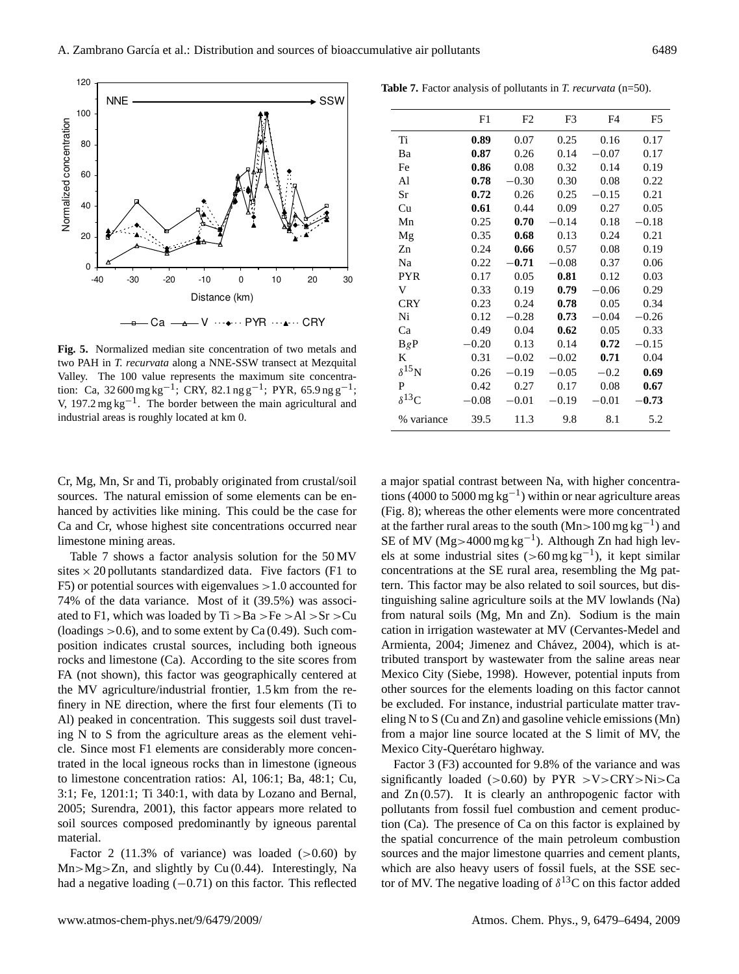

**Fig. 5.** Normalized median site concentration of two metals and two PAH in *T. recurvata* along a NNE-SSW transect at Mezquital Valley. The 100 value represents the maximum site concentration: Ca, 32 600 mg kg<sup>-1</sup>; CRY, 82.1 ng g<sup>-1</sup>; PYR, 65.9 ng g<sup>-1</sup>; V, 197.2 mg kg−<sup>1</sup> . The border between the main agricultural and industrial areas is roughly located at km 0.

|                      | F1      | F <sub>2</sub> | F3      | F <sub>4</sub> | F <sub>5</sub> |
|----------------------|---------|----------------|---------|----------------|----------------|
| Ti                   | 0.89    | 0.07           | 0.25    | 0.16           | 0.17           |
| Ba                   | 0.87    | 0.26           | 0.14    | $-0.07$        | 0.17           |
| Fe                   | 0.86    | 0.08           | 0.32    | 0.14           | 0.19           |
| Al                   | 0.78    | 0.30           | 0.30    | 0.08           | 0.22           |
| Sr                   | 0.72    | 0.26           | 0.25    | $-0.15$        | 0.21           |
| Cu                   | 0.61    | 0.44           | 0.09    | 0.27           | 0.05           |
| Mn                   | 0.25    | 0.70           | $-0.14$ | 0.18           | $-0.18$        |
| Mg                   | 0.35    | 0.68           | 0.13    | 0.24           | 0.21           |
| Zn                   | 0.24    | 0.66           | 0.57    | 0.08           | 0.19           |
| Na                   | 0.22    | -0.71          | $-0.08$ | 0.37           | 0.06           |
| <b>PYR</b>           | 0.17    | 0.05           | 0.81    | 0.12           | 0.03           |
| V                    | 0.33    | 0.19           | 0.79    | $-0.06$        | 0.29           |
| <b>CRY</b>           | 0.23    | 0.24           | 0.78    | 0.05           | 0.34           |
| Ni                   | 0.12    | $-0.28$        | 0.73    | $-0.04$        | $-0.26$        |
| Ca                   | 0.49    | 0.04           | 0.62    | 0.05           | 0.33           |
| BgP                  | $-0.20$ | 0.13           | 0.14    | 0.72           | $-0.15$        |
| K                    | 0.31    | $-0.02$        | $-0.02$ | 0.71           | 0.04           |
| $\delta^{15}{\rm N}$ | 0.26    | $-0.19$        | $-0.05$ | $-0.2$         | 0.69           |
| P                    | 0.42    | 0.27           | 0.17    | 0.08           | 0.67           |
| $\delta^{13}C$       | $-0.08$ | $-0.01$        | $-0.19$ | $-0.01$        | $-0.73$        |
| % variance           | 39.5    | 11.3           | 9.8     | 8.1            | 5.2            |

**Table 7.** Factor analysis of pollutants in *T. recurvata* (n=50).

Cr, Mg, Mn, Sr and Ti, probably originated from crustal/soil sources. The natural emission of some elements can be enhanced by activities like mining. This could be the case for Ca and Cr, whose highest site concentrations occurred near limestone mining areas.

Table 7 shows a factor analysis solution for the 50 MV sites  $\times$  20 pollutants standardized data. Five factors (F1 to F5) or potential sources with eigenvalues  $>1.0$  accounted for 74% of the data variance. Most of it (39.5%) was associated to F1, which was loaded by  $Ti > Ba > Fe > Al > Sr > Cu$ (loadings  $>0.6$ ), and to some extent by Ca (0.49). Such composition indicates crustal sources, including both igneous rocks and limestone (Ca). According to the site scores from FA (not shown), this factor was geographically centered at the MV agriculture/industrial frontier, 1.5 km from the refinery in NE direction, where the first four elements (Ti to Al) peaked in concentration. This suggests soil dust traveling N to S from the agriculture areas as the element vehicle. Since most F1 elements are considerably more concentrated in the local igneous rocks than in limestone (igneous to limestone concentration ratios: Al, 106:1; Ba, 48:1; Cu, 3:1; Fe, 1201:1; Ti 340:1, with data by Lozano and Bernal, 2005; Surendra, 2001), this factor appears more related to soil sources composed predominantly by igneous parental material.

Factor 2 (11.3% of variance) was loaded  $(>0.60)$  by  $Mn>Mg>Zn$ , and slightly by Cu (0.44). Interestingly, Na had a negative loading (−0.71) on this factor. This reflected a major spatial contrast between Na, with higher concentrations (4000 to 5000 mg  $kg^{-1}$ ) within or near agriculture areas (Fig. 8); whereas the other elements were more concentrated at the farther rural areas to the south  $(Mn>100$  mg kg<sup>-1</sup>) and SE of MV (Mg>4000 mg kg<sup>-1</sup>). Although Zn had high levels at some industrial sites (>60 mg kg<sup>-1</sup>), it kept similar concentrations at the SE rural area, resembling the Mg pattern. This factor may be also related to soil sources, but distinguishing saline agriculture soils at the MV lowlands (Na) from natural soils (Mg, Mn and Zn). Sodium is the main cation in irrigation wastewater at MV (Cervantes-Medel and Armienta, 2004; Jimenez and Chávez, 2004), which is attributed transport by wastewater from the saline areas near Mexico City (Siebe, 1998). However, potential inputs from other sources for the elements loading on this factor cannot be excluded. For instance, industrial particulate matter traveling N to S (Cu and Zn) and gasoline vehicle emissions (Mn) from a major line source located at the S limit of MV, the Mexico City-Querétaro highway.

Factor 3 (F3) accounted for 9.8% of the variance and was significantly loaded ( $>0.60$ ) by PYR  $>V>CRY>Ni>Ca$ and  $Zn(0.57)$ . It is clearly an anthropogenic factor with pollutants from fossil fuel combustion and cement production (Ca). The presence of Ca on this factor is explained by the spatial concurrence of the main petroleum combustion sources and the major limestone quarries and cement plants, which are also heavy users of fossil fuels, at the SSE sector of MV. The negative loading of  $\delta^{13}$ C on this factor added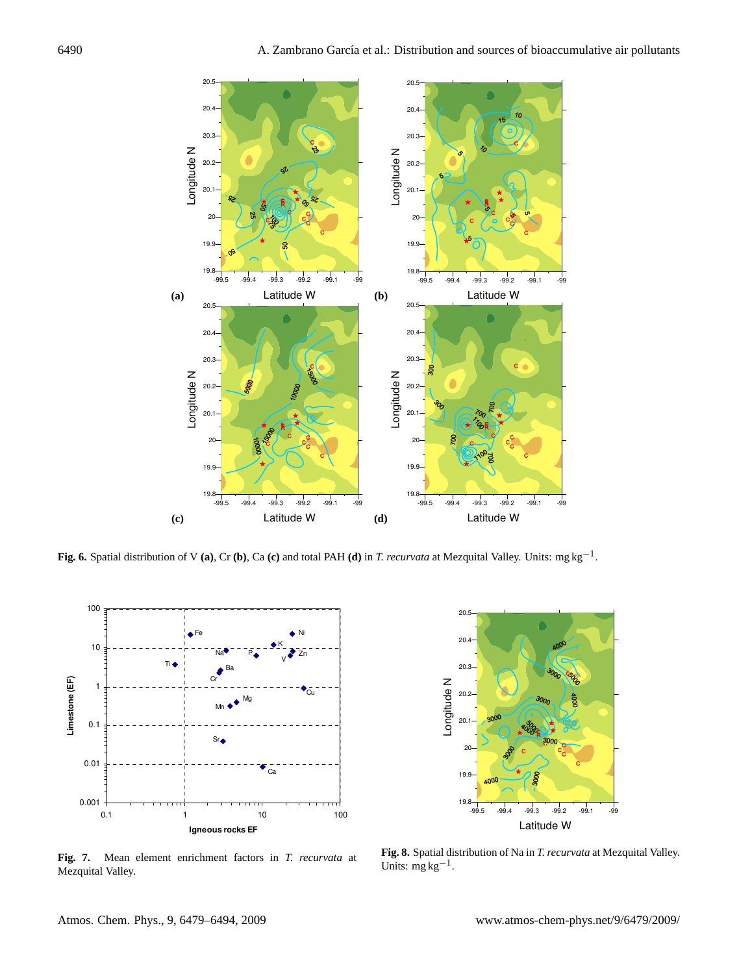

**Fig. 6.** Spatial distribution of V **(a)**, Cr **(b)**, Ca **(c)** and total PAH **(d)** in *T. recurvata* at Mezquital Valley. Units: mg kg−<sup>1</sup> .



-99.5 -99.4 -99.3 -99.2 -99.1 -99 Latitude W  $19.8 -$ 19.9 20 20.1 20.2 20.3 20.4 20.5 Longitude N

**Fig. 7.** Mean element enrichment factors in *T. recurvata* at Mezquital Valley.

**Fig. 8.** Spatial distribution of Na in *T. recurvata* at Mezquital Valley. Units:  $mg \, kg^{-1}$ .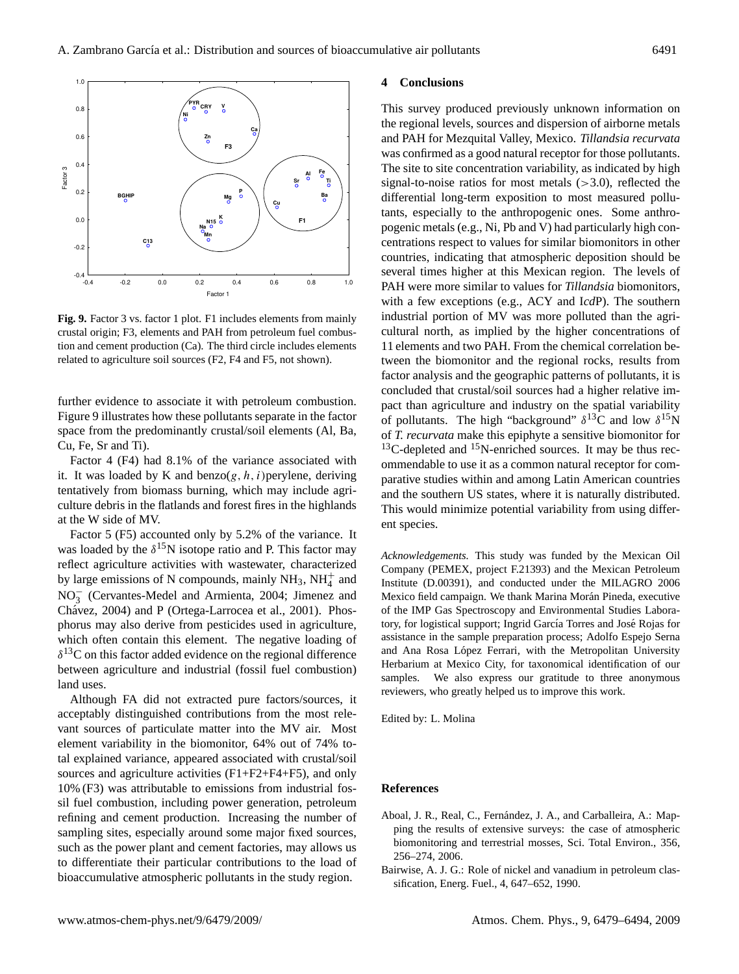

**Fig. 9.** Factor 3 vs. factor 1 plot. F1 includes elements from mainly crustal origin; F3, elements and PAH from petroleum fuel combustion and cement production (Ca). The third circle includes elements related to agriculture soil sources (F2, F4 and F5, not shown).

further evidence to associate it with petroleum combustion. Figure 9 illustrates how these pollutants separate in the factor space from the predominantly crustal/soil elements (Al, Ba, Cu, Fe, Sr and Ti).

Factor 4 (F4) had 8.1% of the variance associated with it. It was loaded by K and benzo $(g, h, i)$  perylene, deriving tentatively from biomass burning, which may include agriculture debris in the flatlands and forest fires in the highlands at the W side of MV.

Factor 5 (F5) accounted only by 5.2% of the variance. It was loaded by the  $\delta^{15}N$  isotope ratio and P. This factor may reflect agriculture activities with wastewater, characterized by large emissions of N compounds, mainly  $NH_3$ ,  $NH_4^+$  and NO<sup>−</sup> 3 (Cervantes-Medel and Armienta, 2004; Jimenez and Chávez, 2004) and P (Ortega-Larrocea et al., 2001). Phosphorus may also derive from pesticides used in agriculture, which often contain this element. The negative loading of  $\delta^{13}$ C on this factor added evidence on the regional difference between agriculture and industrial (fossil fuel combustion) land uses.

Although FA did not extracted pure factors/sources, it acceptably distinguished contributions from the most relevant sources of particulate matter into the MV air. Most element variability in the biomonitor, 64% out of 74% total explained variance, appeared associated with crustal/soil sources and agriculture activities (F1+F2+F4+F5), and only 10% (F3) was attributable to emissions from industrial fossil fuel combustion, including power generation, petroleum refining and cement production. Increasing the number of sampling sites, especially around some major fixed sources, such as the power plant and cement factories, may allows us to differentiate their particular contributions to the load of bioaccumulative atmospheric pollutants in the study region.

### **4 Conclusions**

This survey produced previously unknown information on the regional levels, sources and dispersion of airborne metals and PAH for Mezquital Valley, Mexico. *Tillandsia recurvata* was confirmed as a good natural receptor for those pollutants. The site to site concentration variability, as indicated by high signal-to-noise ratios for most metals  $(>3.0)$ , reflected the differential long-term exposition to most measured pollutants, especially to the anthropogenic ones. Some anthropogenic metals (e.g., Ni, Pb and V) had particularly high concentrations respect to values for similar biomonitors in other countries, indicating that atmospheric deposition should be several times higher at this Mexican region. The levels of PAH were more similar to values for *Tillandsia* biomonitors, with a few exceptions (e.g., ACY and I*cd*P). The southern industrial portion of MV was more polluted than the agricultural north, as implied by the higher concentrations of 11 elements and two PAH. From the chemical correlation between the biomonitor and the regional rocks, results from factor analysis and the geographic patterns of pollutants, it is concluded that crustal/soil sources had a higher relative impact than agriculture and industry on the spatial variability of pollutants. The high "background"  $\delta^{13}C$  and low  $\delta^{15}N$ of *T. recurvata* make this epiphyte a sensitive biomonitor for  $13C$ -depleted and  $15N$ -enriched sources. It may be thus recommendable to use it as a common natural receptor for comparative studies within and among Latin American countries and the southern US states, where it is naturally distributed. This would minimize potential variability from using different species.

*Acknowledgements.* This study was funded by the Mexican Oil Company (PEMEX, project F.21393) and the Mexican Petroleum Institute (D.00391), and conducted under the MILAGRO 2006 Mexico field campaign. We thank Marina Morán Pineda, executive of the IMP Gas Spectroscopy and Environmental Studies Laboratory, for logistical support; Ingrid García Torres and José Rojas for assistance in the sample preparation process; Adolfo Espejo Serna and Ana Rosa López Ferrari, with the Metropolitan University Herbarium at Mexico City, for taxonomical identification of our samples. We also express our gratitude to three anonymous reviewers, who greatly helped us to improve this work.

Edited by: L. Molina

### **References**

- Aboal, J. R., Real, C., Fernández, J. A., and Carballeira, A.: Mapping the results of extensive surveys: the case of atmospheric biomonitoring and terrestrial mosses, Sci. Total Environ., 356, 256–274, 2006.
- Bairwise, A. J. G.: Role of nickel and vanadium in petroleum classification, Energ. Fuel., 4, 647–652, 1990.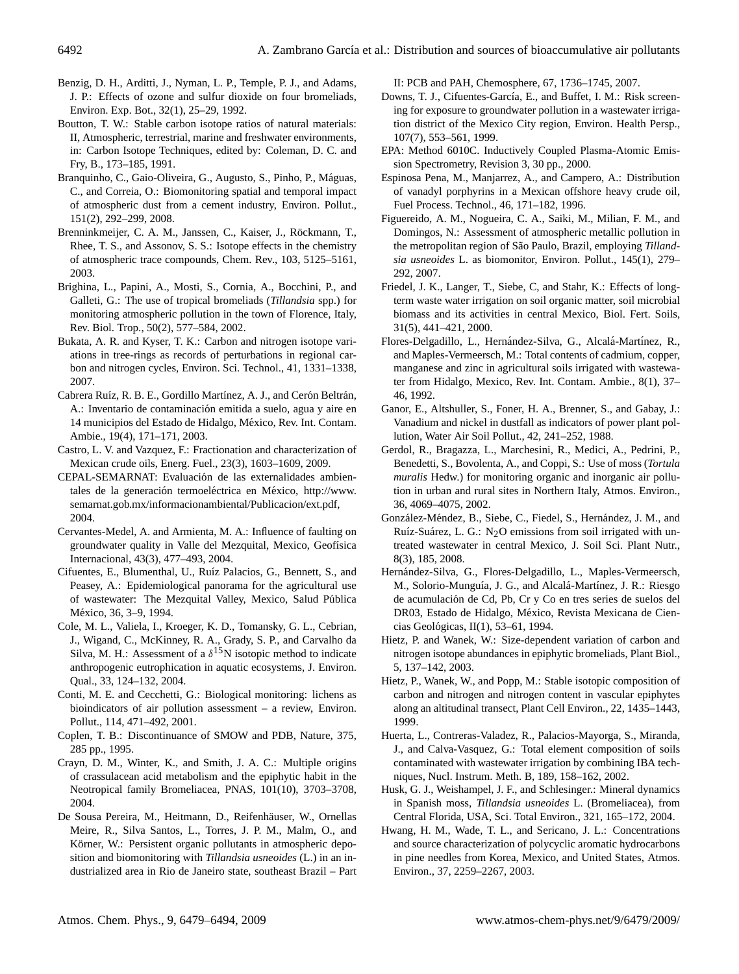- Benzig, D. H., Arditti, J., Nyman, L. P., Temple, P. J., and Adams, J. P.: Effects of ozone and sulfur dioxide on four bromeliads, Environ. Exp. Bot., 32(1), 25–29, 1992.
- Boutton, T. W.: Stable carbon isotope ratios of natural materials: II, Atmospheric, terrestrial, marine and freshwater environments, in: Carbon Isotope Techniques, edited by: Coleman, D. C. and Fry, B., 173–185, 1991.
- Branquinho, C., Gaio-Oliveira, G., Augusto, S., Pinho, P., Máguas, C., and Correia, O.: Biomonitoring spatial and temporal impact of atmospheric dust from a cement industry, Environ. Pollut., 151(2), 292–299, 2008.
- Brenninkmeijer, C. A. M., Janssen, C., Kaiser, J., Röckmann, T., Rhee, T. S., and Assonov, S. S.: Isotope effects in the chemistry of atmospheric trace compounds, Chem. Rev., 103, 5125–5161, 2003.
- Brighina, L., Papini, A., Mosti, S., Cornia, A., Bocchini, P., and Galleti, G.: The use of tropical bromeliads (*Tillandsia* spp.) for monitoring atmospheric pollution in the town of Florence, Italy, Rev. Biol. Trop., 50(2), 577–584, 2002.
- Bukata, A. R. and Kyser, T. K.: Carbon and nitrogen isotope variations in tree-rings as records of perturbations in regional carbon and nitrogen cycles, Environ. Sci. Technol., 41, 1331–1338, 2007.
- Cabrera Ruíz, R. B. E., Gordillo Martínez, A. J., and Cerón Beltrán, A.: Inventario de contaminación emitida a suelo, agua y aire en 14 municipios del Estado de Hidalgo, Mexico, Rev. Int. Contam. ´ Ambie., 19(4), 171–171, 2003.
- Castro, L. V. and Vazquez, F.: Fractionation and characterization of Mexican crude oils, Energ. Fuel., 23(3), 1603–1609, 2009.
- CEPAL-SEMARNAT: Evaluación de las externalidades ambientales de la generación termoeléctrica en México, [http://www.](http://www.semarnat.gob.mx/informacionambiental/Publicacion/ext.pdf) [semarnat.gob.mx/informacionambiental/Publicacion/ext.pdf,](http://www.semarnat.gob.mx/informacionambiental/Publicacion/ext.pdf) 2004.
- Cervantes-Medel, A. and Armienta, M. A.: Influence of faulting on groundwater quality in Valle del Mezquital, Mexico, Geofísica Internacional, 43(3), 477–493, 2004.
- Cifuentes, E., Blumenthal, U., Ruíz Palacios, G., Bennett, S., and Peasey, A.: Epidemiological panorama for the agricultural use of wastewater: The Mezquital Valley, Mexico, Salud Publica ´ México, 36, 3-9, 1994.
- Cole, M. L., Valiela, I., Kroeger, K. D., Tomansky, G. L., Cebrian, J., Wigand, C., McKinney, R. A., Grady, S. P., and Carvalho da Silva, M. H.: Assessment of a  $\delta^{15}N$  isotopic method to indicate anthropogenic eutrophication in aquatic ecosystems, J. Environ. Qual., 33, 124–132, 2004.
- Conti, M. E. and Cecchetti, G.: Biological monitoring: lichens as bioindicators of air pollution assessment – a review, Environ. Pollut., 114, 471–492, 2001.
- Coplen, T. B.: Discontinuance of SMOW and PDB, Nature, 375, 285 pp., 1995.
- Crayn, D. M., Winter, K., and Smith, J. A. C.: Multiple origins of crassulacean acid metabolism and the epiphytic habit in the Neotropical family Bromeliacea, PNAS, 101(10), 3703–3708, 2004.
- De Sousa Pereira, M., Heitmann, D., Reifenhäuser, W., Ornellas Meire, R., Silva Santos, L., Torres, J. P. M., Malm, O., and Körner, W.: Persistent organic pollutants in atmospheric deposition and biomonitoring with *Tillandsia usneoides* (L.) in an industrialized area in Rio de Janeiro state, southeast Brazil – Part

II: PCB and PAH, Chemosphere, 67, 1736–1745, 2007.

- Downs, T. J., Cifuentes-García, E., and Buffet, I. M.: Risk screening for exposure to groundwater pollution in a wastewater irrigation district of the Mexico City region, Environ. Health Persp., 107(7), 553–561, 1999.
- EPA: Method 6010C. Inductively Coupled Plasma-Atomic Emission Spectrometry, Revision 3, 30 pp., 2000.
- Espinosa Pena, M., Manjarrez, A., and Campero, A.: Distribution of vanadyl porphyrins in a Mexican offshore heavy crude oil, Fuel Process. Technol., 46, 171–182, 1996.
- Figuereido, A. M., Nogueira, C. A., Saiki, M., Milian, F. M., and Domingos, N.: Assessment of atmospheric metallic pollution in the metropolitan region of São Paulo, Brazil, employing Tilland*sia usneoides* L. as biomonitor, Environ. Pollut., 145(1), 279– 292, 2007.
- Friedel, J. K., Langer, T., Siebe, C, and Stahr, K.: Effects of longterm waste water irrigation on soil organic matter, soil microbial biomass and its activities in central Mexico, Biol. Fert. Soils, 31(5), 441–421, 2000.
- Flores-Delgadillo, L., Hernández-Silva, G., Alcalá-Martínez, R., and Maples-Vermeersch, M.: Total contents of cadmium, copper, manganese and zinc in agricultural soils irrigated with wastewater from Hidalgo, Mexico, Rev. Int. Contam. Ambie., 8(1), 37– 46, 1992.
- Ganor, E., Altshuller, S., Foner, H. A., Brenner, S., and Gabay, J.: Vanadium and nickel in dustfall as indicators of power plant pollution, Water Air Soil Pollut., 42, 241–252, 1988.
- Gerdol, R., Bragazza, L., Marchesini, R., Medici, A., Pedrini, P., Benedetti, S., Bovolenta, A., and Coppi, S.: Use of moss (*Tortula muralis* Hedw.) for monitoring organic and inorganic air pollution in urban and rural sites in Northern Italy, Atmos. Environ., 36, 4069–4075, 2002.
- González-Méndez, B., Siebe, C., Fiedel, S., Hernández, J. M., and Ruíz-Suárez, L. G.:  $N<sub>2</sub>O$  emissions from soil irrigated with untreated wastewater in central Mexico, J. Soil Sci. Plant Nutr., 8(3), 185, 2008.
- Hernández-Silva, G., Flores-Delgadillo, L., Maples-Vermeersch, M., Solorio-Munguía, J. G., and Alcalá-Martínez, J. R.: Riesgo de acumulación de Cd, Pb, Cr y Co en tres series de suelos del DR03, Estado de Hidalgo, México, Revista Mexicana de Ciencias Geológicas,  $II(1)$ , 53–61, 1994.
- Hietz, P. and Wanek, W.: Size-dependent variation of carbon and nitrogen isotope abundances in epiphytic bromeliads, Plant Biol., 5, 137–142, 2003.
- Hietz, P., Wanek, W., and Popp, M.: Stable isotopic composition of carbon and nitrogen and nitrogen content in vascular epiphytes along an altitudinal transect, Plant Cell Environ., 22, 1435–1443, 1999.
- Huerta, L., Contreras-Valadez, R., Palacios-Mayorga, S., Miranda, J., and Calva-Vasquez, G.: Total element composition of soils contaminated with wastewater irrigation by combining IBA techniques, Nucl. Instrum. Meth. B, 189, 158–162, 2002.
- Husk, G. J., Weishampel, J. F., and Schlesinger.: Mineral dynamics in Spanish moss, *Tillandsia usneoides* L. (Bromeliacea), from Central Florida, USA, Sci. Total Environ., 321, 165–172, 2004.
- Hwang, H. M., Wade, T. L., and Sericano, J. L.: Concentrations and source characterization of polycyclic aromatic hydrocarbons in pine needles from Korea, Mexico, and United States, Atmos. Environ., 37, 2259–2267, 2003.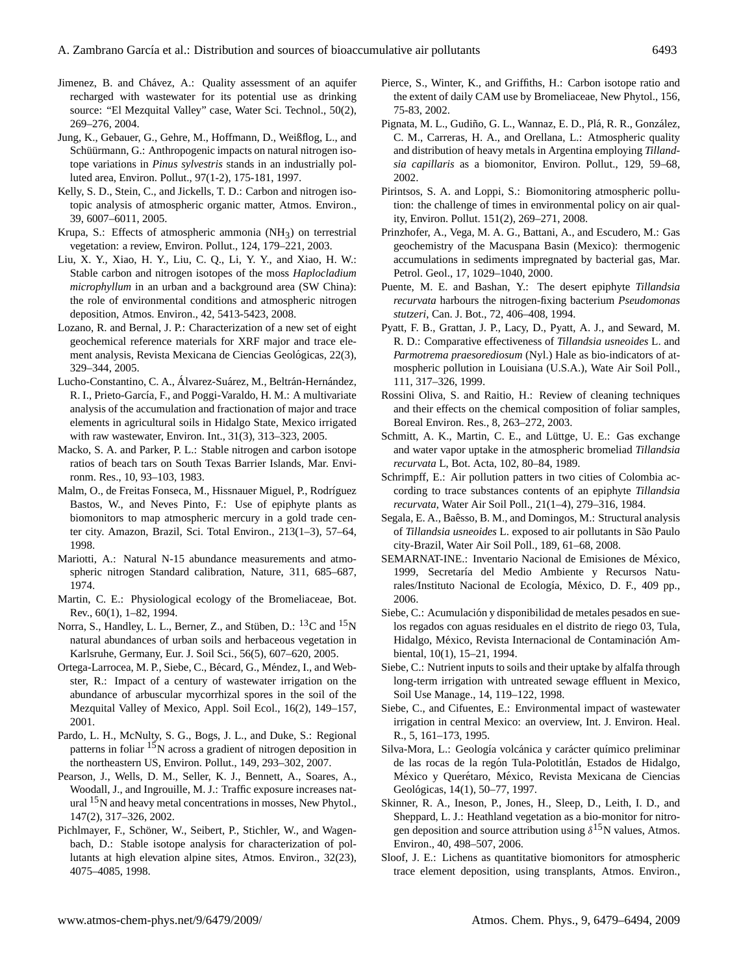- Jimenez, B. and Chávez, A.: Quality assessment of an aquifer recharged with wastewater for its potential use as drinking source: "El Mezquital Valley" case, Water Sci. Technol., 50(2), 269–276, 2004.
- Jung, K., Gebauer, G., Gehre, M., Hoffmann, D., Weißflog, L., and Schüürmann, G.: Anthropogenic impacts on natural nitrogen isotope variations in *Pinus sylvestris* stands in an industrially polluted area, Environ. Pollut., 97(1-2), 175-181, 1997.
- Kelly, S. D., Stein, C., and Jickells, T. D.: Carbon and nitrogen isotopic analysis of atmospheric organic matter, Atmos. Environ., 39, 6007–6011, 2005.
- Krupa, S.: Effects of atmospheric ammonia  $(NH<sub>3</sub>)$  on terrestrial vegetation: a review, Environ. Pollut., 124, 179–221, 2003.
- Liu, X. Y., Xiao, H. Y., Liu, C. Q., Li, Y. Y., and Xiao, H. W.: Stable carbon and nitrogen isotopes of the moss *Haplocladium microphyllum* in an urban and a background area (SW China): the role of environmental conditions and atmospheric nitrogen deposition, Atmos. Environ., 42, 5413-5423, 2008.
- Lozano, R. and Bernal, J. P.: Characterization of a new set of eight geochemical reference materials for XRF major and trace element analysis, Revista Mexicana de Ciencias Geológicas, 22(3), 329–344, 2005.
- Lucho-Constantino, C. A., Álvarez-Suárez, M., Beltrán-Hernández, R. I., Prieto-García, F., and Poggi-Varaldo, H. M.: A multivariate analysis of the accumulation and fractionation of major and trace elements in agricultural soils in Hidalgo State, Mexico irrigated with raw wastewater, Environ. Int., 31(3), 313–323, 2005.
- Macko, S. A. and Parker, P. L.: Stable nitrogen and carbon isotope ratios of beach tars on South Texas Barrier Islands, Mar. Environm. Res., 10, 93–103, 1983.
- Malm, O., de Freitas Fonseca, M., Hissnauer Miguel, P., Rodríguez Bastos, W., and Neves Pinto, F.: Use of epiphyte plants as biomonitors to map atmospheric mercury in a gold trade center city. Amazon, Brazil, Sci. Total Environ., 213(1–3), 57–64, 1998.
- Mariotti, A.: Natural N-15 abundance measurements and atmospheric nitrogen Standard calibration, Nature, 311, 685–687, 1974.
- Martin, C. E.: Physiological ecology of the Bromeliaceae, Bot. Rev., 60(1), 1–82, 1994.
- Norra, S., Handley, L. L., Berner, Z., and Stüben, D.: <sup>13</sup>C and <sup>15</sup>N natural abundances of urban soils and herbaceous vegetation in Karlsruhe, Germany, Eur. J. Soil Sci., 56(5), 607–620, 2005.
- Ortega-Larrocea, M. P., Siebe, C., Bécard, G., Méndez, I., and Webster, R.: Impact of a century of wastewater irrigation on the abundance of arbuscular mycorrhizal spores in the soil of the Mezquital Valley of Mexico, Appl. Soil Ecol., 16(2), 149–157, 2001.
- Pardo, L. H., McNulty, S. G., Bogs, J. L., and Duke, S.: Regional patterns in foliar <sup>15</sup>N across a gradient of nitrogen deposition in the northeastern US, Environ. Pollut., 149, 293–302, 2007.
- Pearson, J., Wells, D. M., Seller, K. J., Bennett, A., Soares, A., Woodall, J., and Ingrouille, M. J.: Traffic exposure increases natural <sup>15</sup>N and heavy metal concentrations in mosses, New Phytol., 147(2), 317–326, 2002.
- Pichlmayer, F., Schöner, W., Seibert, P., Stichler, W., and Wagenbach, D.: Stable isotope analysis for characterization of pollutants at high elevation alpine sites, Atmos. Environ., 32(23), 4075–4085, 1998.
- Pierce, S., Winter, K., and Griffiths, H.: Carbon isotope ratio and the extent of daily CAM use by Bromeliaceae, New Phytol., 156, 75-83, 2002.
- Pignata, M. L., Gudiño, G. L., Wannaz, E. D., Plá, R. R., González, C. M., Carreras, H. A., and Orellana, L.: Atmospheric quality and distribution of heavy metals in Argentina employing *Tillandsia capillaris* as a biomonitor, Environ. Pollut., 129, 59–68, 2002.
- Pirintsos, S. A. and Loppi, S.: Biomonitoring atmospheric pollution: the challenge of times in environmental policy on air quality, Environ. Pollut. 151(2), 269–271, 2008.
- Prinzhofer, A., Vega, M. A. G., Battani, A., and Escudero, M.: Gas geochemistry of the Macuspana Basin (Mexico): thermogenic accumulations in sediments impregnated by bacterial gas, Mar. Petrol. Geol., 17, 1029–1040, 2000.
- Puente, M. E. and Bashan, Y.: The desert epiphyte *Tillandsia recurvata* harbours the nitrogen-fixing bacterium *Pseudomonas stutzeri*, Can. J. Bot., 72, 406–408, 1994.
- Pyatt, F. B., Grattan, J. P., Lacy, D., Pyatt, A. J., and Seward, M. R. D.: Comparative effectiveness of *Tillandsia usneoides* L. and *Parmotrema praesorediosum* (Nyl.) Hale as bio-indicators of atmospheric pollution in Louisiana (U.S.A.), Wate Air Soil Poll., 111, 317–326, 1999.
- Rossini Oliva, S. and Raitio, H.: Review of cleaning techniques and their effects on the chemical composition of foliar samples, Boreal Environ. Res., 8, 263–272, 2003.
- Schmitt, A. K., Martin, C. E., and Lüttge, U. E.: Gas exchange and water vapor uptake in the atmospheric bromeliad *Tillandsia recurvata* L, Bot. Acta, 102, 80–84, 1989.
- Schrimpff, E.: Air pollution patters in two cities of Colombia according to trace substances contents of an epiphyte *Tillandsia recurvata*, Water Air Soil Poll., 21(1–4), 279–316, 1984.
- Segala, E. A., Baêsso, B. M., and Domingos, M.: Structural analysis of *Tillandsia usneoides* L. exposed to air pollutants in São Paulo city-Brazil, Water Air Soil Poll., 189, 61–68, 2008.
- SEMARNAT-INE.: Inventario Nacional de Emisiones de México, 1999, Secretaría del Medio Ambiente y Recursos Naturales/Instituto Nacional de Ecología, México, D. F., 409 pp., 2006.
- Siebe, C.: Acumulación y disponibilidad de metales pesados en suelos regados con aguas residuales en el distrito de riego 03, Tula, Hidalgo, México, Revista Internacional de Contaminación Ambiental, 10(1), 15–21, 1994.
- Siebe, C.: Nutrient inputs to soils and their uptake by alfalfa through long-term irrigation with untreated sewage effluent in Mexico, Soil Use Manage., 14, 119–122, 1998.
- Siebe, C., and Cifuentes, E.: Environmental impact of wastewater irrigation in central Mexico: an overview, Int. J. Environ. Heal. R., 5, 161–173, 1995.
- Silva-Mora, L.: Geología volcánica y carácter químico preliminar de las rocas de la regón Tula-Polotitlán, Estados de Hidalgo, México y Querétaro, México, Revista Mexicana de Ciencias Geológicas, 14(1), 50-77, 1997.
- Skinner, R. A., Ineson, P., Jones, H., Sleep, D., Leith, I. D., and Sheppard, L. J.: Heathland vegetation as a bio-monitor for nitrogen deposition and source attribution using  $\delta^{15}$ N values, Atmos. Environ., 40, 498–507, 2006.
- Sloof, J. E.: Lichens as quantitative biomonitors for atmospheric trace element deposition, using transplants, Atmos. Environ.,